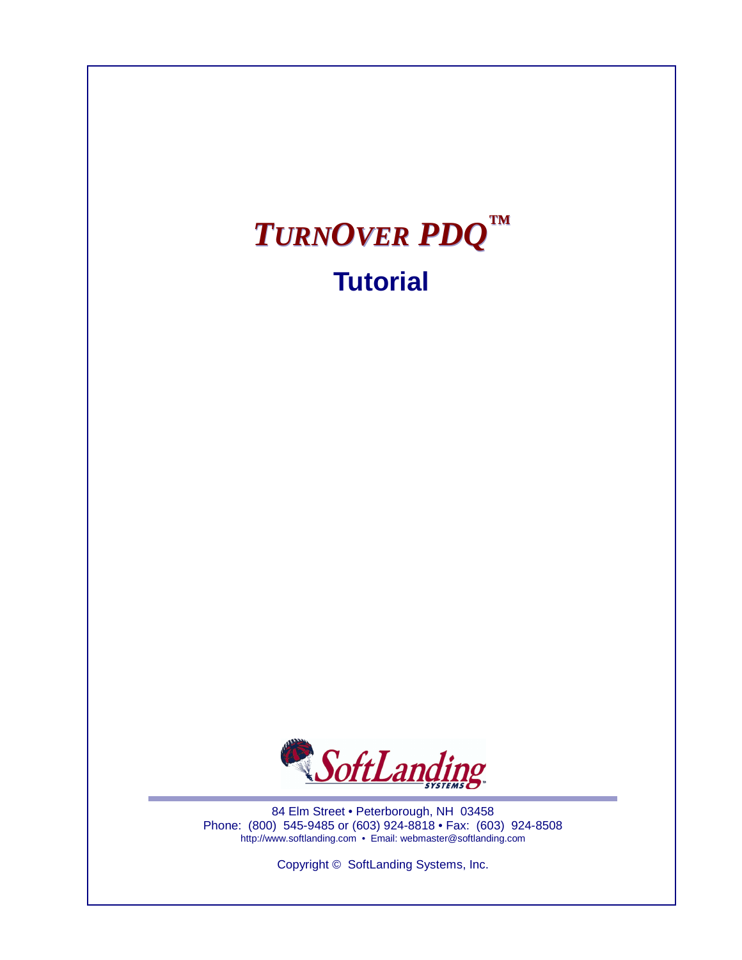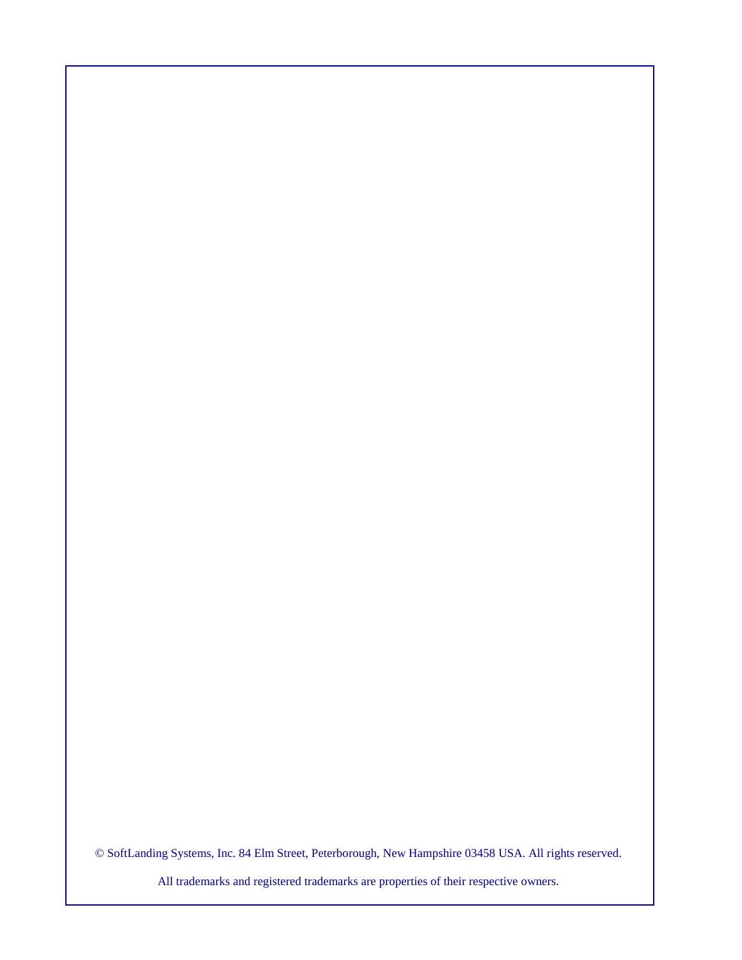© SoftLanding Systems, Inc. 84 Elm Street, Peterborough, New Hampshire 03458 USA. All rights reserved.

All trademarks and registered trademarks are properties of their respective owners.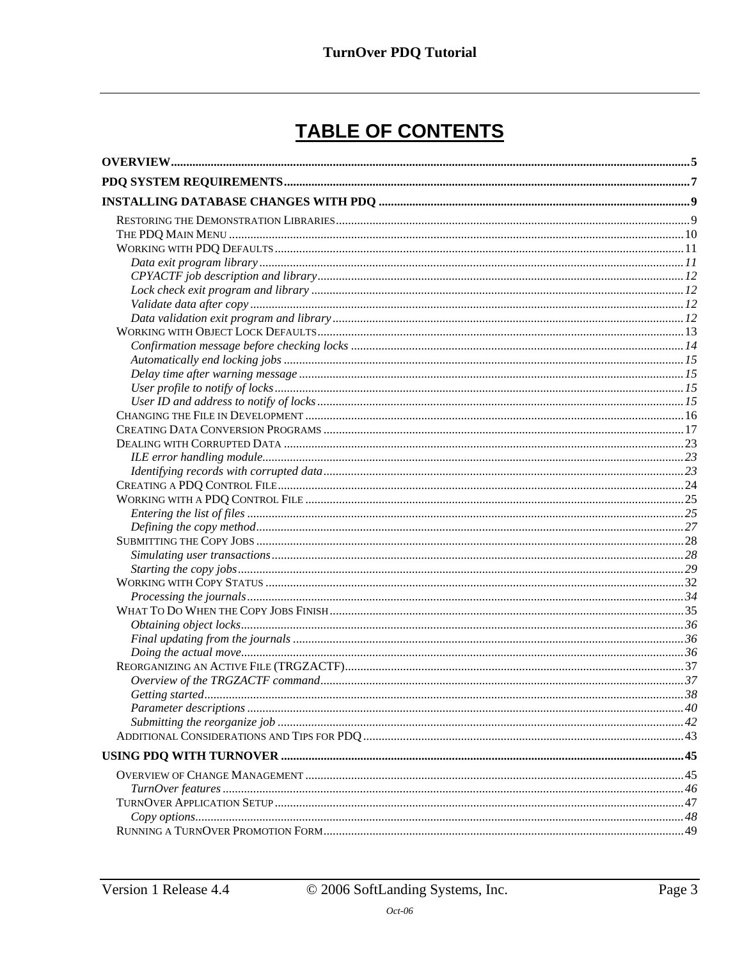# TABLE OF CONTENTS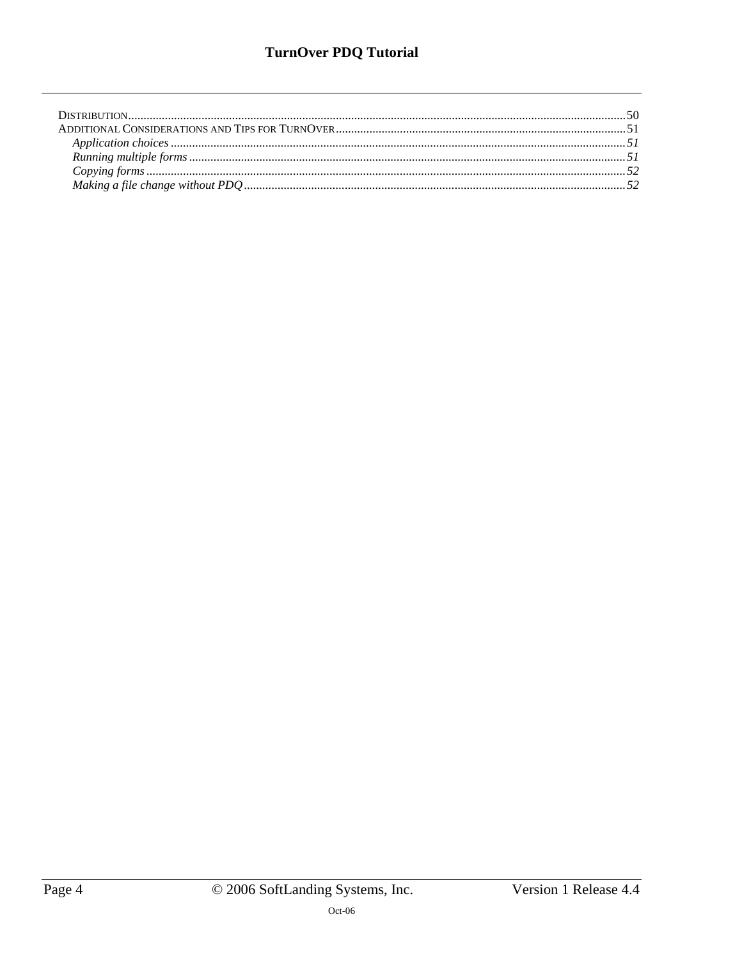## **TurnOver PDQ Tutorial**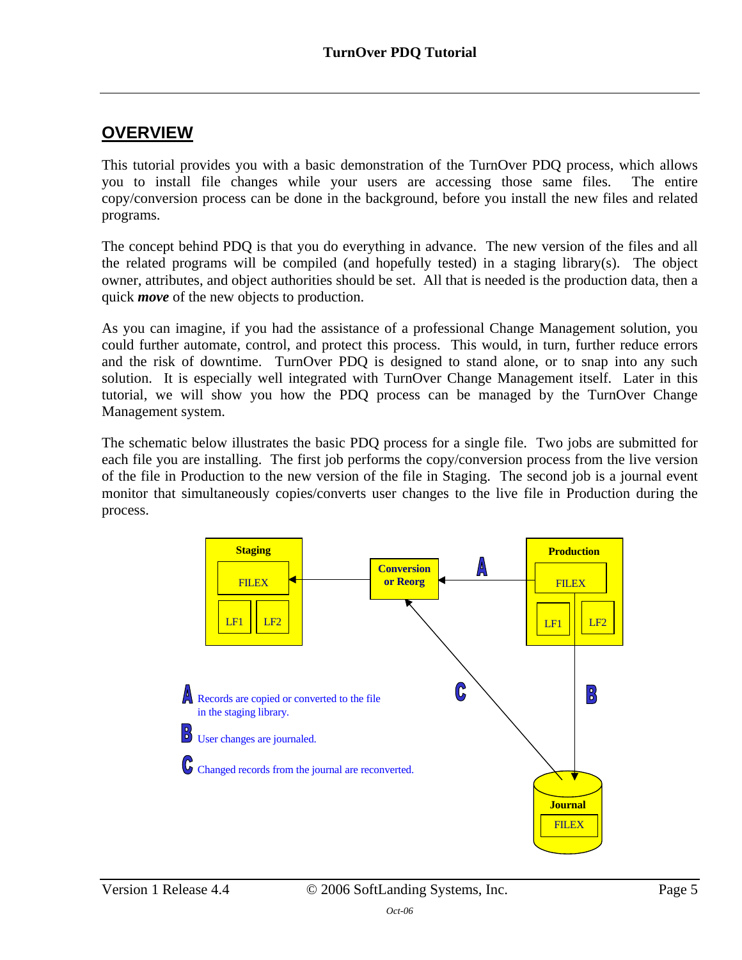### <span id="page-4-0"></span>**OVERVIEW**

This tutorial provides you with a basic demonstration of the TurnOver PDQ process, which allows you to install file changes while your users are accessing those same files. The entire copy/conversion process can be done in the background, before you install the new files and related programs.

The concept behind PDQ is that you do everything in advance. The new version of the files and all the related programs will be compiled (and hopefully tested) in a staging library(s). The object owner, attributes, and object authorities should be set. All that is needed is the production data, then a quick *move* of the new objects to production.

As you can imagine, if you had the assistance of a professional Change Management solution, you could further automate, control, and protect this process. This would, in turn, further reduce errors and the risk of downtime. TurnOver PDQ is designed to stand alone, or to snap into any such solution. It is especially well integrated with TurnOver Change Management itself. Later in this tutorial, we will show you how the PDQ process can be managed by the TurnOver Change Management system.

The schematic below illustrates the basic PDQ process for a single file. Two jobs are submitted for each file you are installing. The first job performs the copy/conversion process from the live version of the file in Production to the new version of the file in Staging. The second job is a journal event monitor that simultaneously copies/converts user changes to the live file in Production during the process.

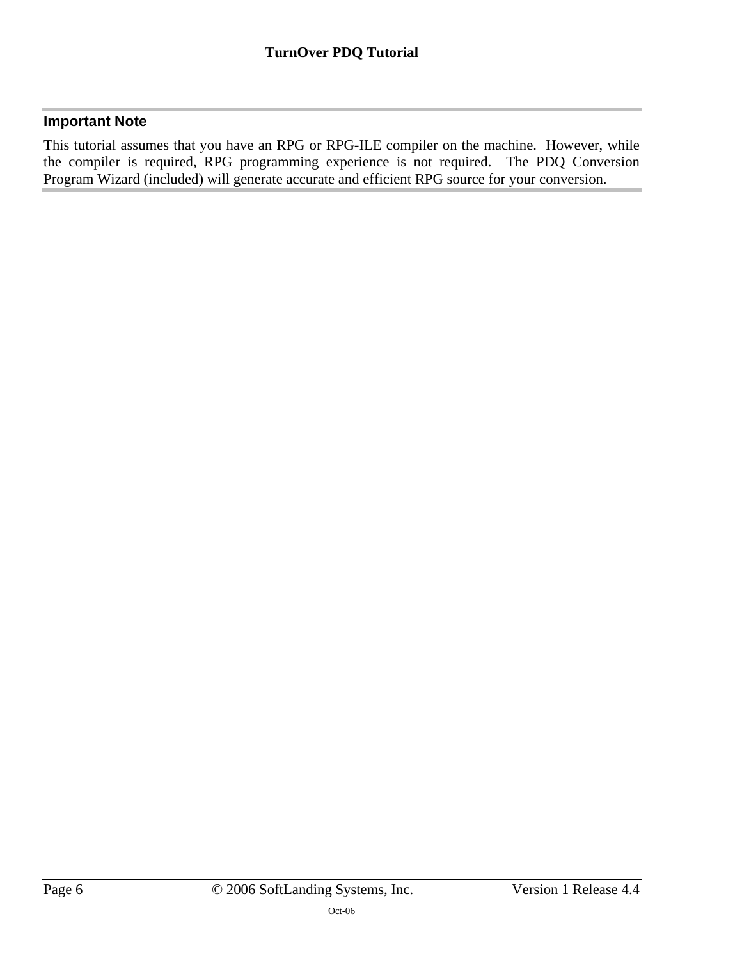### **Important Note**

This tutorial assumes that you have an RPG or RPG-ILE compiler on the machine. However, while the compiler is required, RPG programming experience is not required. The PDQ Conversion Program Wizard (included) will generate accurate and efficient RPG source for your conversion.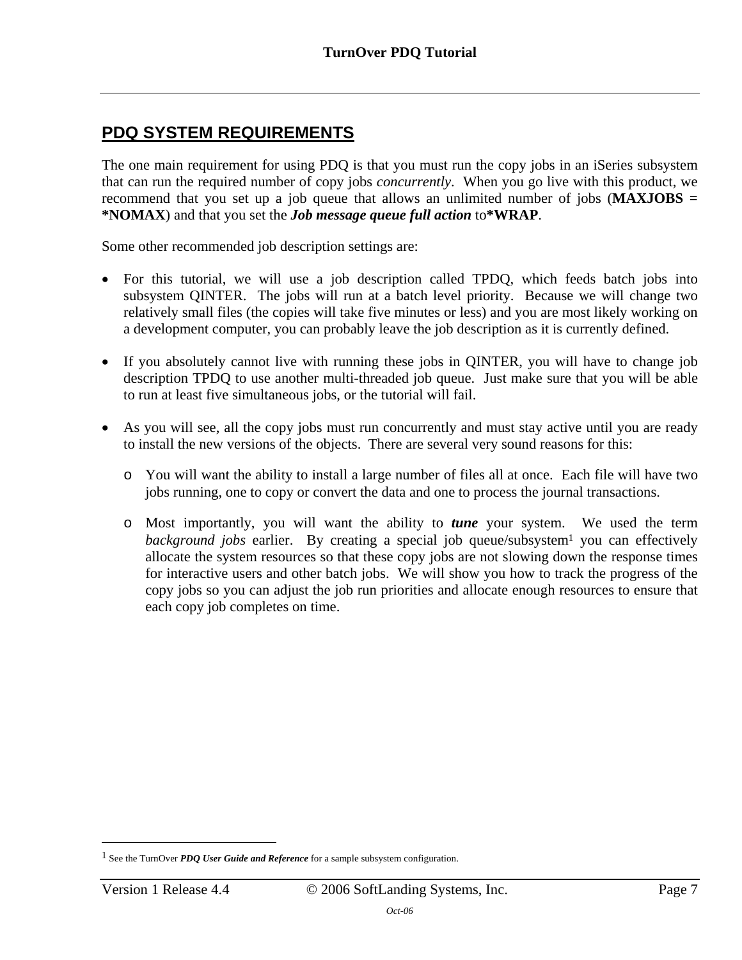## <span id="page-6-0"></span>**PDQ SYSTEM REQUIREMENTS**

The one main requirement for using PDQ is that you must run the copy jobs in an iSeries subsystem that can run the required number of copy jobs *concurrently*. When you go live with this product, we recommend that you set up a job queue that allows an unlimited number of jobs (**MAXJOBS = \*NOMAX**) and that you set the *Job message queue full action* to**\*WRAP**.

Some other recommended job description settings are:

- For this tutorial, we will use a job description called TPDQ, which feeds batch jobs into subsystem QINTER. The jobs will run at a batch level priority. Because we will change two relatively small files (the copies will take five minutes or less) and you are most likely working on a development computer, you can probably leave the job description as it is currently defined.
- If you absolutely cannot live with running these jobs in QINTER, you will have to change job description TPDQ to use another multi-threaded job queue. Just make sure that you will be able to run at least five simultaneous jobs, or the tutorial will fail.
- As you will see, all the copy jobs must run concurrently and must stay active until you are ready to install the new versions of the objects. There are several very sound reasons for this:
	- o You will want the ability to install a large number of files all at once. Each file will have two jobs running, one to copy or convert the data and one to process the journal transactions.
	- o Most importantly, you will want the ability to *tune* your system. We used the term *background jobs* earlier. By creating a special job queue/subsystem<sup>1</sup> you can effectively allocate the system resources so that these copy jobs are not slowing do[w](#page-6-1)n the response times for interactive users and other batch jobs. We will show you how to track the progress of the copy jobs so you can adjust the job run priorities and allocate enough resources to ensure that each copy job completes on time.

 $\overline{a}$ 

<span id="page-6-1"></span><sup>&</sup>lt;sup>1</sup> See the TurnOver *PDQ User Guide and Reference* for a sample subsystem configuration.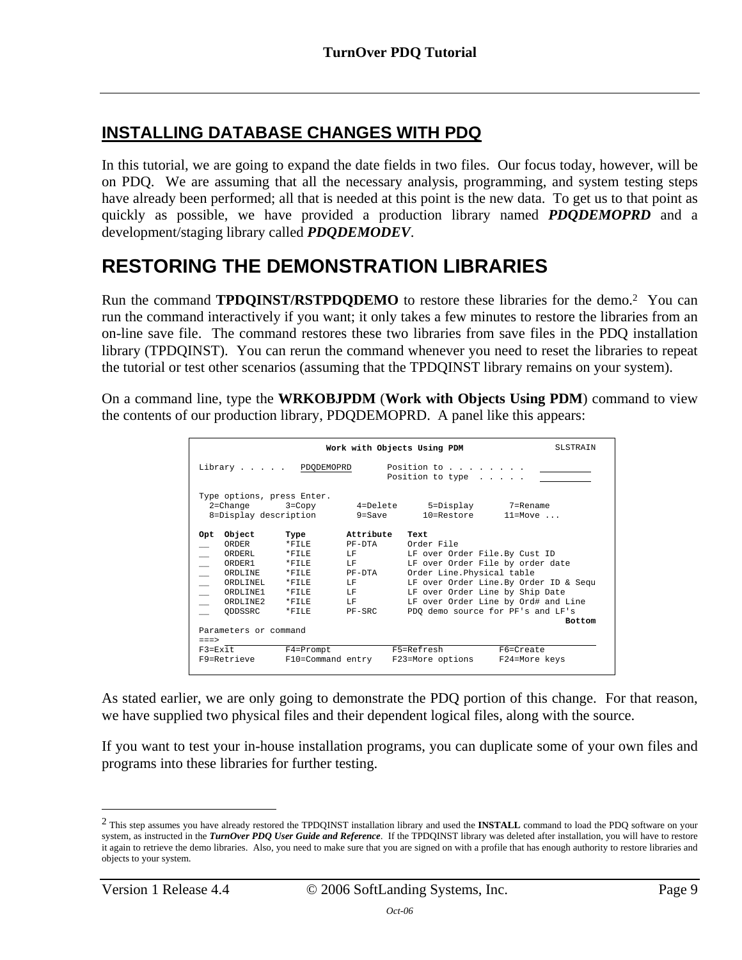## <span id="page-8-0"></span>**INSTALLING DATABASE CHANGES WITH PDQ**

In this tutorial, we are going to expand the date fields in two files. Our focus today, however, will be on PDQ. We are assuming that all the necessary analysis, programming, and system testing steps have already been performed; all that is needed at this point is the new data. To get us to that point as quickly as possible, we have provided a production library named *PDQDEMOPRD* and a development/staging library called *PDQDEMODEV*.

# <span id="page-8-1"></span>**RESTORING THE DEMONSTRATION LIBRARIES**

Run the command **TPDQINST/RSTPDQDEMO** to restore these libraries for the demo.[2](#page-8-2) You can run the command interactively if you want; it only takes a few minutes to restore the libraries from an on-line save file. The command restores these two libraries from save files in the PDQ installation library (TPDQINST). You can rerun the command whenever you need to reset the libraries to repeat the tutorial or test other scenarios (assuming that the TPDQINST library remains on your system).

On a command line, type the **WRKOBJPDM** (**Work with Objects Using PDM**) command to view the contents of our production library, PDQDEMOPRD. A panel like this appears:

|                          |                            |                    |                  | Work with Objects Using PDM     | <b>SLSTRAIN</b>                        |
|--------------------------|----------------------------|--------------------|------------------|---------------------------------|----------------------------------------|
|                          |                            | Library PDQDEMOPRD |                  | Position to                     |                                        |
|                          |                            |                    |                  | Position to type $\ldots$ .     |                                        |
|                          |                            |                    |                  |                                 |                                        |
|                          | Type options, press Enter. |                    |                  |                                 |                                        |
|                          | $2$ =Change                | $3 = Copy$         | $4 =$ Delete     | 5=Display                       | 7=Rename                               |
|                          | 8=Display description      |                    | $9 = Save$       | 10=Restore                      | $11 = Move \dots$                      |
|                          |                            |                    |                  |                                 |                                        |
| Opt                      | Object                     | Type               | Attribute        | Text                            |                                        |
|                          | ORDER                      | $*$ FTLE           | PF-DTA           | Order File                      |                                        |
|                          | ORDERL                     | $*$ $F$ TLE        | LF.              | LF over Order File.By Cust ID   |                                        |
|                          | ORDER <sub>1</sub>         | $*$ $F$ TLE        | T.F              |                                 | LF over Order File by order date       |
| $\equiv$                 | ORDLINE                    | $*$ $F$ TLE        | PF-DTA           | Order Line. Physical table      |                                        |
| L.                       | ORDIJINEL                  | $*$ $F$ TLE        | T.F              |                                 | LF over Order Line. By Order ID & Sequ |
| $\overline{\phantom{0}}$ | ORDLINE1                   | $*$ FTLE           | $L_{\rm F}$      | LF over Order Line by Ship Date |                                        |
|                          | ORDLINE2                   | $*$ $F$ TLE        | T.F              |                                 | LF over Order Line by Ord# and Line    |
|                          | ODDSSRC                    | $*$ $F$ TLE        | $PF - SRC$       |                                 | PDO demo source for PF's and LF's      |
|                          |                            |                    |                  |                                 | <b>Bottom</b>                          |
|                          | Parameters or command      |                    |                  |                                 |                                        |
| $===>$                   |                            |                    |                  |                                 |                                        |
|                          | $F3 = Fx$ it               | $F4 = Promp$       |                  | F5=Refresh                      | F6=Create                              |
|                          | F9=Retrieve                | F10=Command entry  | F23=More options |                                 | F24=More keys                          |
|                          |                            |                    |                  |                                 |                                        |

As stated earlier, we are only going to demonstrate the PDQ portion of this change. For that reason, we have supplied two physical files and their dependent logical files, along with the source.

If you want to test your in-house installation programs, you can duplicate some of your own files and programs into these libraries for further testing.

 $\overline{a}$ 

<span id="page-8-2"></span><sup>2</sup> This step assumes you have already restored the TPDQINST installation library and used the **INSTALL** command to load the PDQ software on your system, as instructed in the *TurnOver PDQ User Guide and Reference*. If the TPDQINST library was deleted after installation, you will have to restore it again to retrieve the demo libraries. Also, you need to make sure that you are signed on with a profile that has enough authority to restore libraries and objects to your system.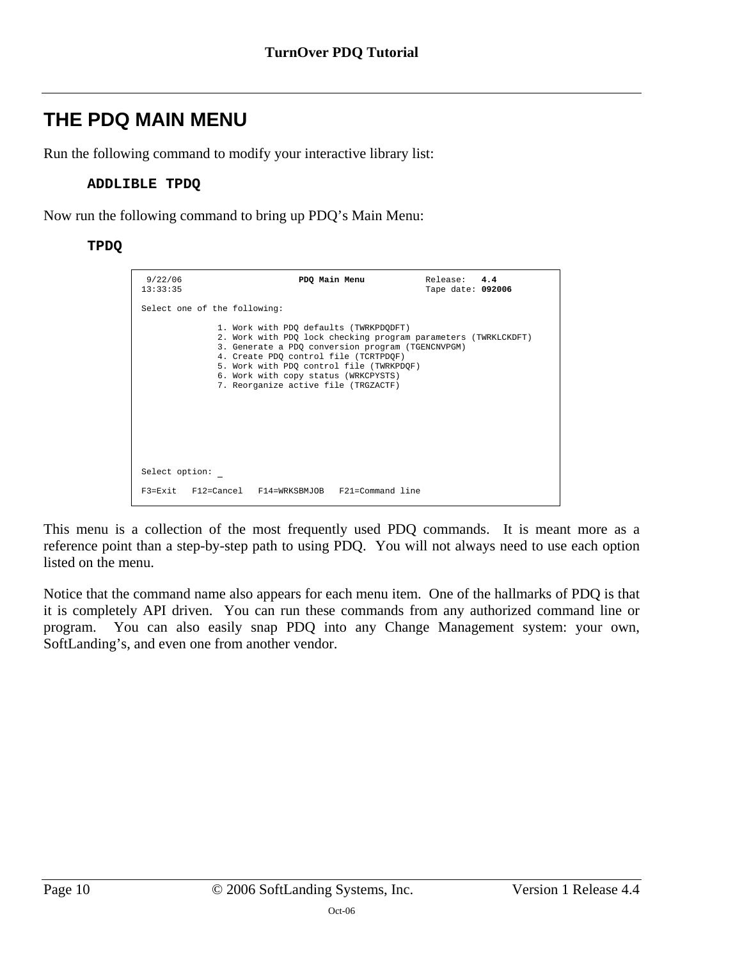# <span id="page-9-0"></span>**THE PDQ MAIN MENU**

Run the following command to modify your interactive library list:

#### **ADDLIBLE TPDQ**

Now run the following command to bring up PDQ's Main Menu:

#### **TPDQ**

| 9/22/06<br>13:33:35          | PDQ Main Menu                                                                                                                                                                                                                                                                                                                      | Release: 4.4<br>Tape date: 092006 |  |
|------------------------------|------------------------------------------------------------------------------------------------------------------------------------------------------------------------------------------------------------------------------------------------------------------------------------------------------------------------------------|-----------------------------------|--|
| Select one of the following: |                                                                                                                                                                                                                                                                                                                                    |                                   |  |
|                              | 1. Work with PDO defaults (TWRKPDODFT)<br>2. Work with PDO lock checking program parameters (TWRKLCKDFT)<br>3. Generate a PDO conversion program (TGENCNVPGM)<br>4. Create PDO control file (TCRTPDOF)<br>5. Work with PDQ control file (TWRKPDQF)<br>6. Work with copy status (WRKCPYSTS)<br>7. Reorganize active file (TRGZACTF) |                                   |  |
| Select option:               |                                                                                                                                                                                                                                                                                                                                    |                                   |  |
|                              | F3=Exit F12=Cancel F14=WRKSBMJOB F21=Command line                                                                                                                                                                                                                                                                                  |                                   |  |

This menu is a collection of the most frequently used PDQ commands. It is meant more as a reference point than a step-by-step path to using PDQ. You will not always need to use each option listed on the menu.

Notice that the command name also appears for each menu item. One of the hallmarks of PDQ is that it is completely API driven. You can run these commands from any authorized command line or program. You can also easily snap PDQ into any Change Management system: your own, SoftLanding's, and even one from another vendor.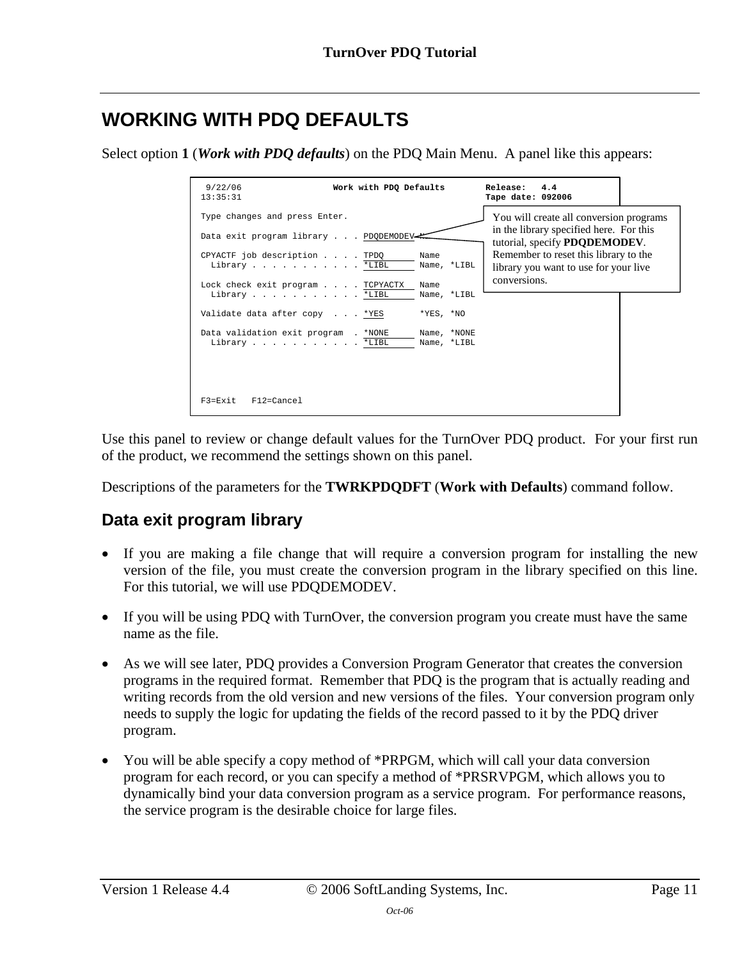# <span id="page-10-0"></span>**WORKING WITH PDQ DEFAULTS**

Select option **1** (*Work with PDQ defaults*) on the PDQ Main Menu. A panel like this appears:

| 9/22/06<br>Work with PDQ Defaults<br>13:35:31                                     |                             | Release:<br>4.4<br>Tape date: 092006                                                                                        |  |
|-----------------------------------------------------------------------------------|-----------------------------|-----------------------------------------------------------------------------------------------------------------------------|--|
| Type changes and press Enter.<br>Data exit program library PDODEMODEV-            |                             | You will create all conversion programs<br>in the library specified here. For this<br>tutorial, specify <b>PDQDEMODEV</b> . |  |
| CPYACTF job description TPDO<br>Library *LIBL<br>Lock check exit program TCPYACTX | Name<br>Name, *LIBL<br>Name | Remember to reset this library to the<br>library you want to use for your live<br>conversions.                              |  |
| Library *LIBL                                                                     | Name, *LIBL                 |                                                                                                                             |  |
| Validate data after copy *YES                                                     | $*YES, *NO$                 |                                                                                                                             |  |
| Data validation exit program . *NONE<br>Library *LIBL                             | Name, *NONE<br>Name, *LIBL  |                                                                                                                             |  |
| F3=Exit<br>F12=Cancel                                                             |                             |                                                                                                                             |  |

Use this panel to review or change default values for the TurnOver PDQ product. For your first run of the product, we recommend the settings shown on this panel.

Descriptions of the parameters for the **TWRKPDQDFT** (**Work with Defaults**) command follow.

### <span id="page-10-1"></span>**Data exit program library**

- If you are making a file change that will require a conversion program for installing the new version of the file, you must create the conversion program in the library specified on this line. For this tutorial, we will use PDQDEMODEV.
- If you will be using PDQ with TurnOver, the conversion program you create must have the same name as the file.
- As we will see later, PDQ provides a Conversion Program Generator that creates the conversion programs in the required format. Remember that PDQ is the program that is actually reading and writing records from the old version and new versions of the files. Your conversion program only needs to supply the logic for updating the fields of the record passed to it by the PDQ driver program.
- You will be able specify a copy method of \*PRPGM, which will call your data conversion program for each record, or you can specify a method of \*PRSRVPGM, which allows you to dynamically bind your data conversion program as a service program. For performance reasons, the service program is the desirable choice for large files.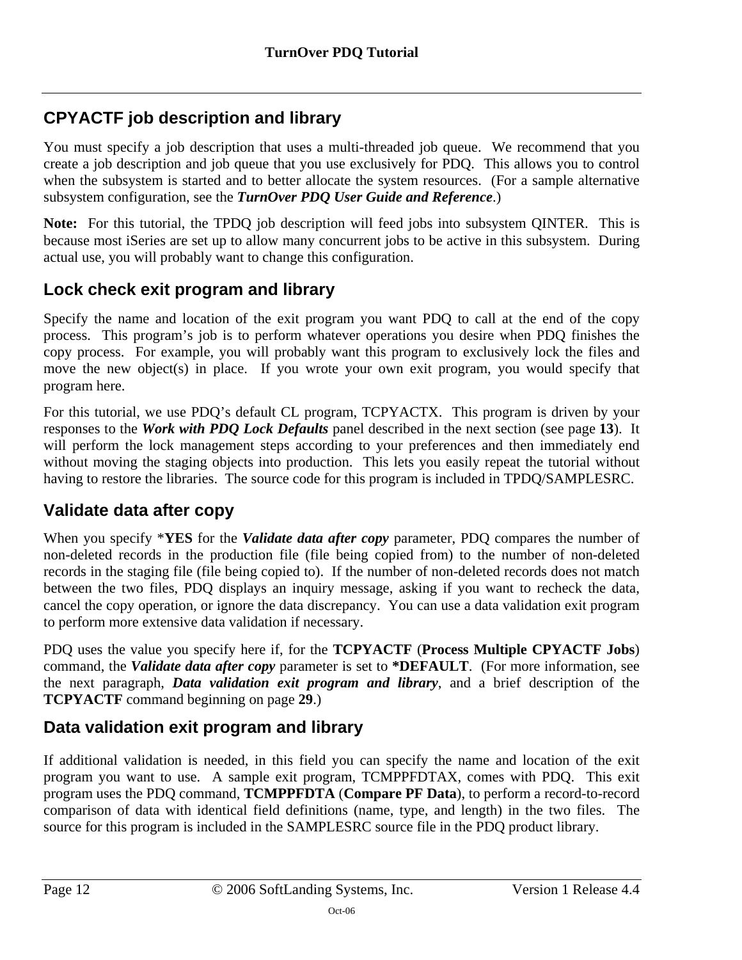## <span id="page-11-0"></span>**CPYACTF job description and library**

You must specify a job description that uses a multi-threaded job queue. We recommend that you create a job description and job queue that you use exclusively for PDQ. This allows you to control when the subsystem is started and to better allocate the system resources. (For a sample alternative subsystem configuration, see the *TurnOver PDQ User Guide and Reference*.)

**Note:** For this tutorial, the TPDQ job description will feed jobs into subsystem QINTER. This is because most iSeries are set up to allow many concurrent jobs to be active in this subsystem. During actual use, you will probably want to change this configuration.

## <span id="page-11-1"></span>**Lock check exit program and library**

Specify the name and location of the exit program you want PDQ to call at the end of the copy process. This program's job is to perform whatever operations you desire when PDQ finishes the copy process. For example, you will probably want this program to exclusively lock the files and move the new object(s) in place. If you wrote your own exit program, you would specify that program here.

For this tutorial, we use PDQ's default CL program, TCPYACTX. This program is driven by your responses to the *Work with PDQ Lock Defaults* panel described in the next section (see page **13**). It will perform the lock management steps according to your preferences and then immediat[ely](#page-12-0) end without moving the staging objects into production. This lets you easily repeat the tutorial without having to restore the libraries. The source code for this program is included in TPDQ/SAMPLESRC.

## <span id="page-11-2"></span>**Validate data after copy**

When you specify \***YES** for the *Validate data after copy* parameter, PDQ compares the number of non-deleted records in the production file (file being copied from) to the number of non-deleted records in the staging file (file being copied to). If the number of non-deleted records does not match between the two files, PDQ displays an inquiry message, asking if you want to recheck the data, cancel the copy operation, or ignore the data discrepancy. You can use a data validation exit program to perform more extensive data validation if necessary.

PDQ uses the value you specify here if, for the **TCPYACTF** (**Process Multiple CPYACTF Jobs**) command, the *Validate data after copy* parameter is set to **\*DEFAULT**.(For more information, see the next paragraph, *Data validation exit program and library*, and a brief description of the **TCPYACTF** comma[nd beginning on page](#page-11-3) **[29](#page-28-0)**.)

## <span id="page-11-3"></span>**Data validation exit program and library**

If additional validation is needed, in this field you can specify the name and location of the exit program you want to use. A sample exit program, TCMPPFDTAX, comes with PDQ. This exit program uses the PDQ command, **TCMPPFDTA** (**Compare PF Data**), to perform a record-to-record comparison of data with identical field definitions (name, type, and length) in the two files. The source for this program is included in the SAMPLESRC source file in the PDQ product library.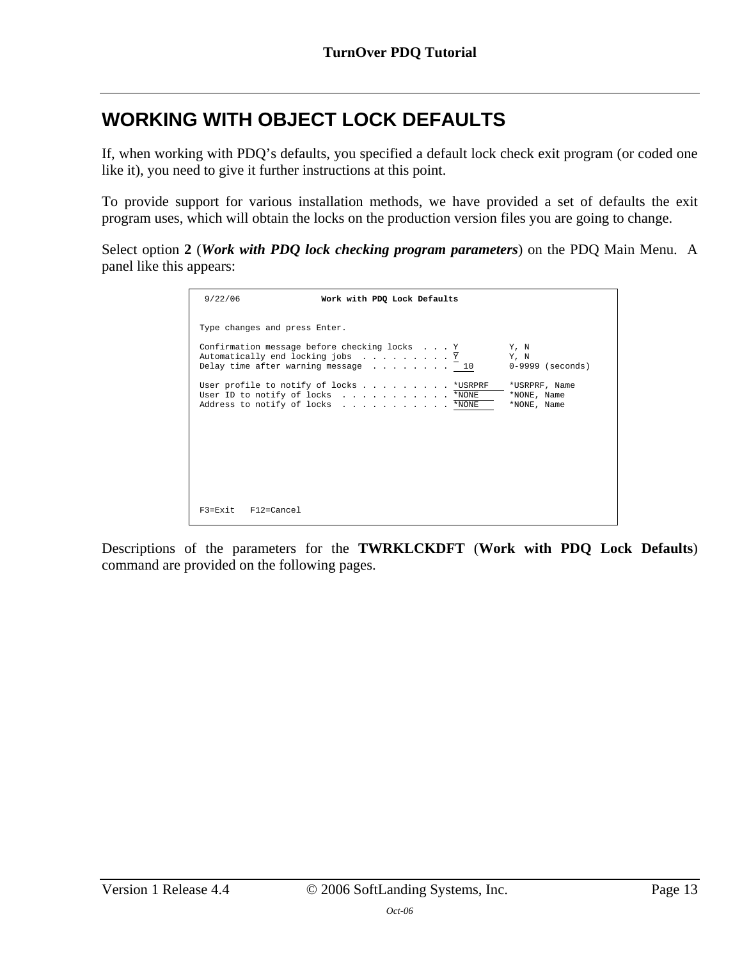# <span id="page-12-0"></span>**WORKING WITH OBJECT LOCK DEFAULTS**

If, when working with PDQ's defaults, you specified a default lock check exit program (or coded one like it), you need to give it further instructions at this point.

To provide support for various installation methods, we have provided a set of defaults the exit program uses, which will obtain the locks on the production version files you are going to change.

Select option **2** (*Work with PDQ lock checking program parameters*) on the PDQ Main Menu. A panel like this appears:

| 9/22/06                       | Work with PDQ Lock Defaults                                                                                      |                                                |
|-------------------------------|------------------------------------------------------------------------------------------------------------------|------------------------------------------------|
| Type changes and press Enter. | Confirmation message before checking locks Y                                                                     | Y. N                                           |
|                               | Automatically end locking jobs Y<br>Delay time after warning message 10                                          | Y, N<br>$0-9999$ (seconds)                     |
|                               | User profile to notify of locks *USRPRF<br>User ID to notify of locks *NONE<br>Address to notify of locks * NONE | *USRPRF, Name<br>*NONE, Name<br>$*$ NONE, Name |
|                               |                                                                                                                  |                                                |
|                               |                                                                                                                  |                                                |
| $F3 = Exit$ $F12 = Cancel$    |                                                                                                                  |                                                |

Descriptions of the parameters for the **TWRKLCKDFT** (**Work with PDQ Lock Defaults**) command are provided on the following pages.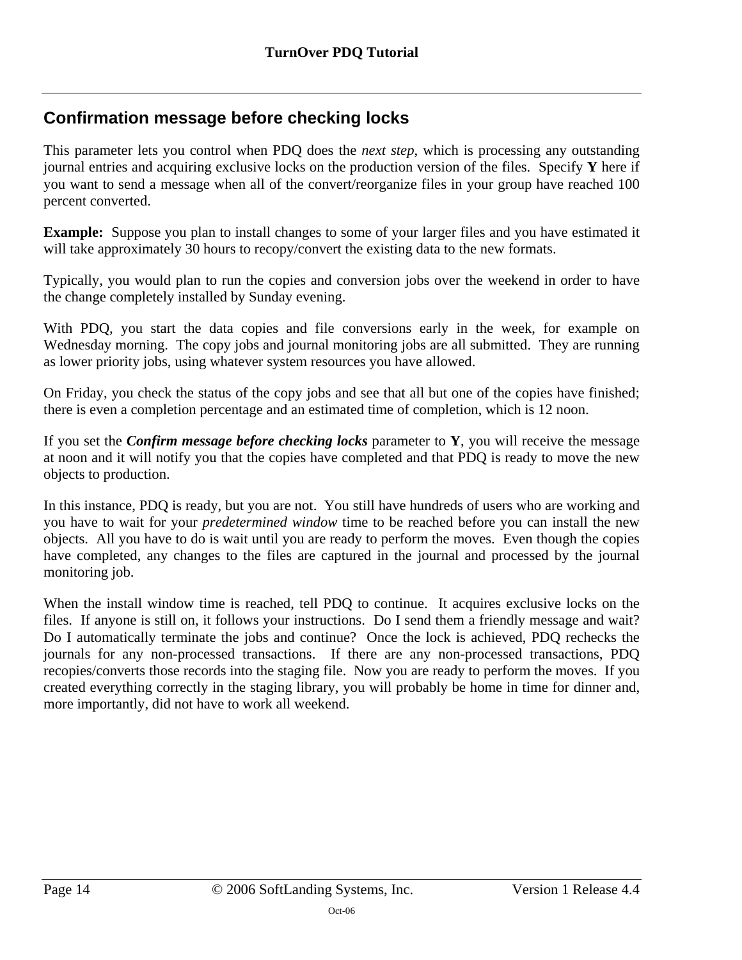## <span id="page-13-0"></span>**Confirmation message before checking locks**

This parameter lets you control when PDQ does the *next step*, which is processing any outstanding journal entries and acquiring exclusive locks on the production version of the files. Specify **Y** here if you want to send a message when all of the convert/reorganize files in your group have reached 100 percent converted.

**Example:** Suppose you plan to install changes to some of your larger files and you have estimated it will take approximately 30 hours to recopy/convert the existing data to the new formats.

Typically, you would plan to run the copies and conversion jobs over the weekend in order to have the change completely installed by Sunday evening.

With PDQ, you start the data copies and file conversions early in the week, for example on Wednesday morning. The copy jobs and journal monitoring jobs are all submitted. They are running as lower priority jobs, using whatever system resources you have allowed.

On Friday, you check the status of the copy jobs and see that all but one of the copies have finished; there is even a completion percentage and an estimated time of completion, which is 12 noon.

If you set the *Confirm message before checking locks* parameter to **Y**, you will receive the message at noon and it will notify you that the copies have completed and that PDQ is ready to move the new objects to production.

In this instance, PDQ is ready, but you are not. You still have hundreds of users who are working and you have to wait for your *predetermined window* time to be reached before you can install the new objects. All you have to do is wait until you are ready to perform the moves. Even though the copies have completed, any changes to the files are captured in the journal and processed by the journal monitoring job.

When the install window time is reached, tell PDO to continue. It acquires exclusive locks on the files. If anyone is still on, it follows your instructions. Do I send them a friendly message and wait? Do I automatically terminate the jobs and continue? Once the lock is achieved, PDQ rechecks the journals for any non-processed transactions. If there are any non-processed transactions, PDQ recopies/converts those records into the staging file. Now you are ready to perform the moves. If you created everything correctly in the staging library, you will probably be home in time for dinner and, more importantly, did not have to work all weekend.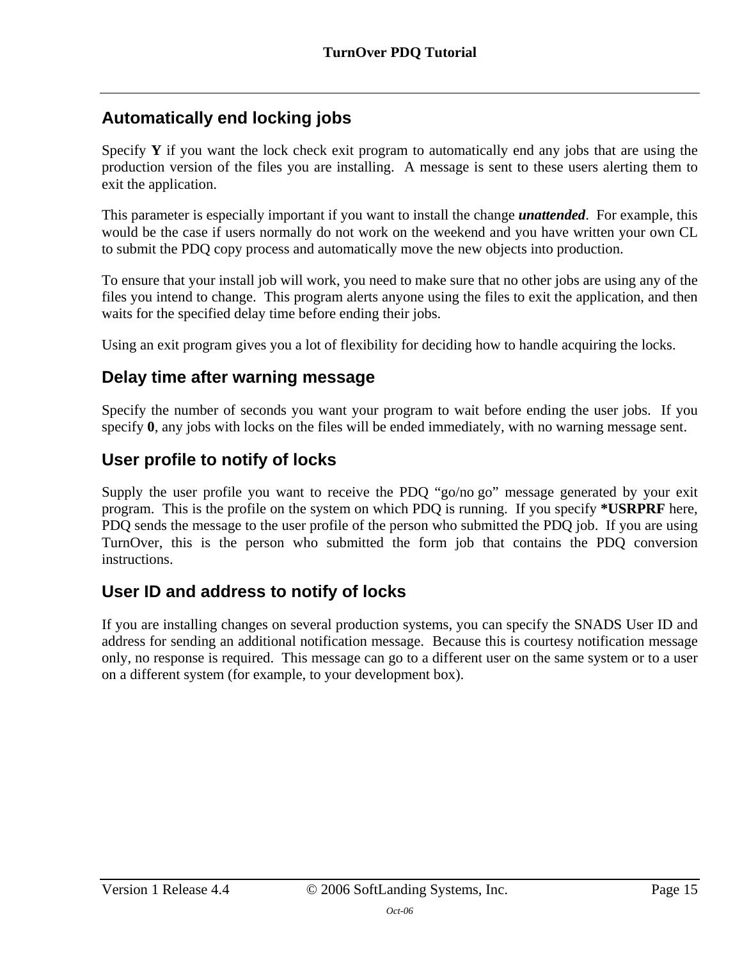## <span id="page-14-0"></span>**Automatically end locking jobs**

Specify **Y** if you want the lock check exit program to automatically end any jobs that are using the production version of the files you are installing. A message is sent to these users alerting them to exit the application.

This parameter is especially important if you want to install the change *unattended*. For example, this would be the case if users normally do not work on the weekend and you have written your own CL to submit the PDQ copy process and automatically move the new objects into production.

To ensure that your install job will work, you need to make sure that no other jobs are using any of the files you intend to change. This program alerts anyone using the files to exit the application, and then waits for the specified delay time before ending their jobs.

Using an exit program gives you a lot of flexibility for deciding how to handle acquiring the locks.

### <span id="page-14-1"></span>**Delay time after warning message**

Specify the number of seconds you want your program to wait before ending the user jobs. If you specify **0**, any jobs with locks on the files will be ended immediately, with no warning message sent.

## <span id="page-14-2"></span>**User profile to notify of locks**

Supply the user profile you want to receive the PDQ "go/no go" message generated by your exit program. This is the profile on the system on which PDQ is running. If you specify **\*USRPRF** here, PDQ sends the message to the user profile of the person who submitted the PDQ job. If you are using TurnOver, this is the person who submitted the form job that contains the PDQ conversion instructions.

## <span id="page-14-3"></span>**User ID and address to notify of locks**

If you are installing changes on several production systems, you can specify the SNADS User ID and address for sending an additional notification message. Because this is courtesy notification message only, no response is required. This message can go to a different user on the same system or to a user on a different system (for example, to your development box).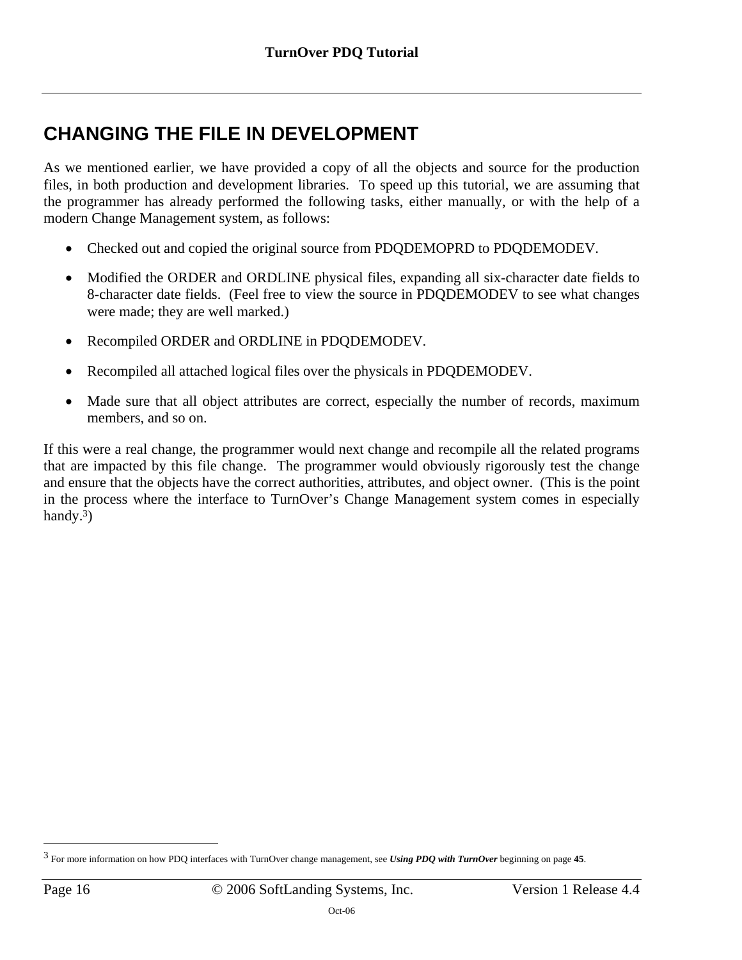# <span id="page-15-0"></span>**CHANGING THE FILE IN DEVELOPMENT**

As we mentioned earlier, we have provided a copy of all the objects and source for the production files, in both production and development libraries. To speed up this tutorial, we are assuming that the programmer has already performed the following tasks, either manually, or with the help of a modern Change Management system, as follows:

- Checked out and copied the original source from PDQDEMOPRD to PDQDEMODEV.
- Modified the ORDER and ORDLINE physical files, expanding all six-character date fields to 8-character date fields. (Feel free to view the source in PDQDEMODEV to see what changes were made; they are well marked.)
- Recompiled ORDER and ORDLINE in PDQDEMODEV.
- Recompiled all attached logical files over the physicals in PDQDEMODEV.
- Made sure that all object attributes are correct, especially the number of records, maximum members, and so on.

If this were a real change, the programmer would next change and recompile all the related programs that are impacted by this file change. The programmer would obviously rigorously test the change and ensure that the objects have the correct authorities, attributes, and object owner. (This is the point in the process where the interface to TurnOver's Change Management system comes in especially handy[.](#page-15-1) $3)$  $3)$ 

 $\overline{a}$ 

<span id="page-15-1"></span><sup>3</sup> For more information on how PDQ interfaces with TurnOver change management, see *Using PDQ with TurnOver* beginning on page **45**.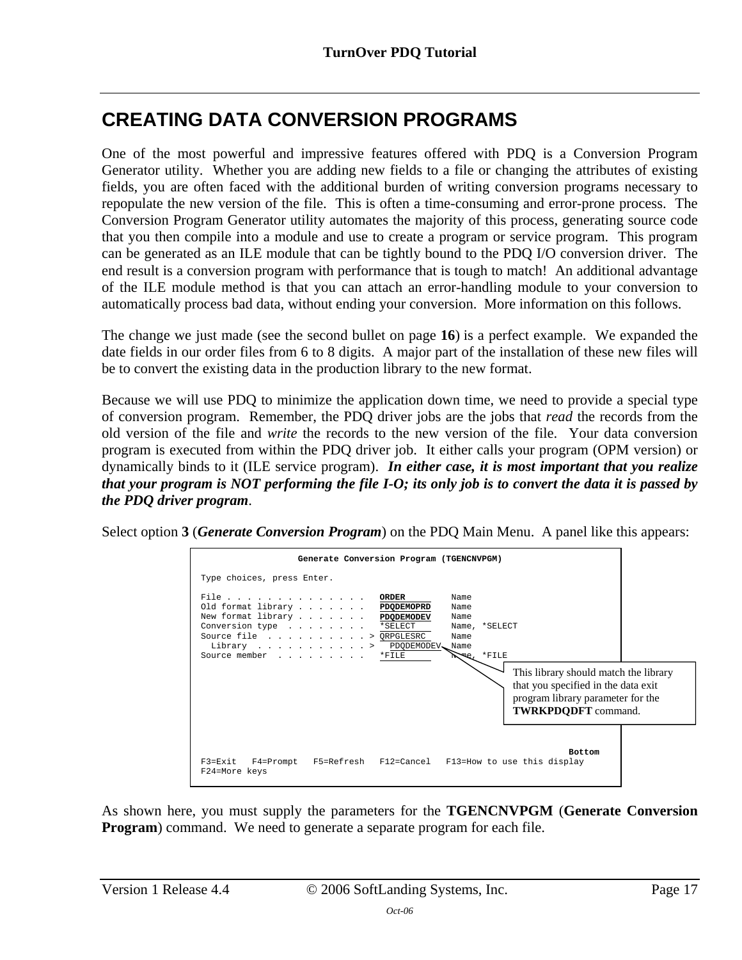# <span id="page-16-0"></span>**CREATING DATA CONVERSION PROGRAMS**

One of the most powerful and impressive features offered with PDQ is a Conversion Program Generator utility. Whether you are adding new fields to a file or changing the attributes of existing fields, you are often faced with the additional burden of writing conversion programs necessary to repopulate the new version of the file. This is often a time-consuming and error-prone process. The Conversion Program Generator utility automates the majority of this process, generating source code that you then compile into a module and use to create a program or service program. This program can be generated as an ILE module that can be tightly bound to the PDQ I/O conversion driver. The end result is a conversion program with performance that is tough to match! An additional advantage of the ILE module method is that you can attach an error-handling module to your conversion to automatically process bad data, without ending your conversion. More information on this follows.

The change we just made (see the second bullet on page **[16](#page-15-0)**) is a perfect example. We expanded the date fields in our order files from 6 to 8 digits. A major part of the installation of these new files will be to convert the existing data in the production library to the new format.

Because we will use PDQ to minimize the application down time, we need to provide a special type of conversion program. Remember, the PDQ driver jobs are the jobs that *read* the records from the old version of the file and *write* the records to the new version of the file. Your data conversion program is executed from within the PDQ driver job. It either calls your program (OPM version) or dynamically binds to it (ILE service program). *In either case, it is most important that you realize that your program is NOT performing the file I-O; its only job is to convert the data it is passed by the PDQ driver program*.

Select option **3** (*Generate Conversion Program*) on the PDQ Main Menu. A panel like this appears:



As shown here, you must supply the parameters for the **TGENCNVPGM** (**Generate Conversion Program**) command. We need to generate a separate program for each file.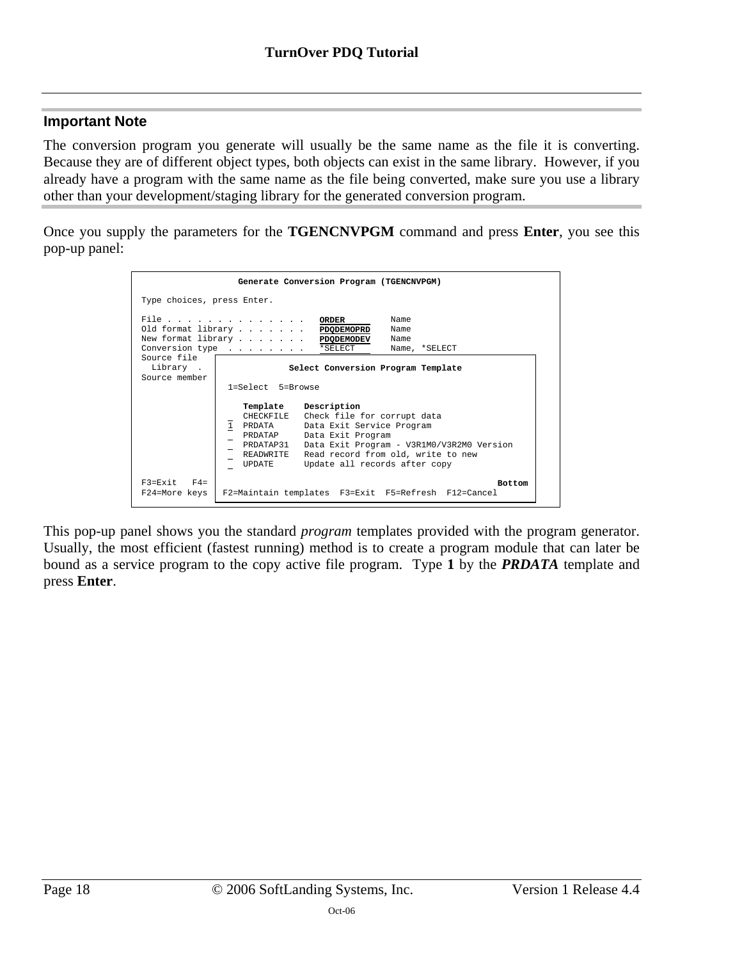#### **Important Note**

The conversion program you generate will usually be the same name as the file it is converting. Because they are of different object types, both objects can exist in the same library. However, if you already have a program with the same name as the file being converted, make sure you use a library other than your development/staging library for the generated conversion program.

Once you supply the parameters for the **TGENCNVPGM** command and press **Enter**, you see this pop-up panel:



This pop-up panel shows you the standard *program* templates provided with the program generator. Usually, the most efficient (fastest running) method is to create a program module that can later be bound as a service program to the copy active file program. Type **1** by the *PRDATA* template and press **Enter**.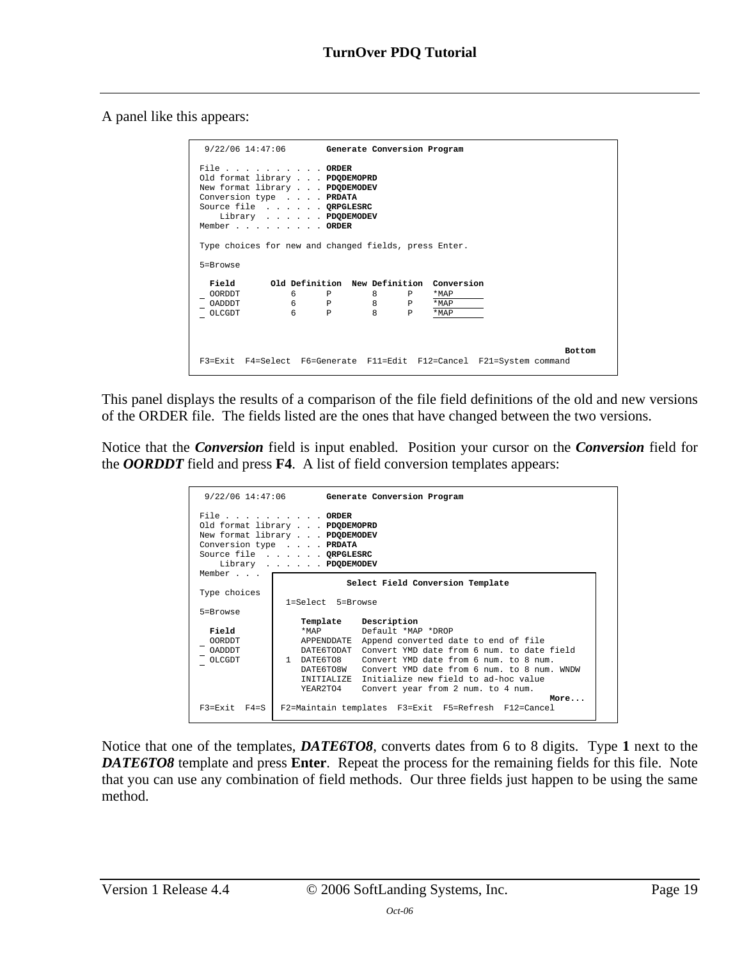A panel like this appears:

| 9/22/06 14:47:06 Generate Conversion Program                                                                                                                         |                                          |                                                                                       |
|----------------------------------------------------------------------------------------------------------------------------------------------------------------------|------------------------------------------|---------------------------------------------------------------------------------------|
| File ORDER<br>Old format library PDODEMOPRD<br>New format library PDODEMODEV<br>Conversion type PRDATA<br>Source file ORPGLESRC<br>Library PDQDEMODEV<br>MemberORDER |                                          |                                                                                       |
| Type choices for new and changed fields, press Enter.                                                                                                                |                                          |                                                                                       |
| 5=Browse                                                                                                                                                             |                                          |                                                                                       |
| Field                                                                                                                                                                | Old Definition New Definition Conversion |                                                                                       |
| 6 —<br><b>OORDDT</b>                                                                                                                                                 | 8<br>P<br>$P \qquad \qquad$              | $*MAP$                                                                                |
| 6<br>OADDDT                                                                                                                                                          | 8<br>P<br>P                              | *MAP                                                                                  |
| 6<br>OLCGDT                                                                                                                                                          | $\mathsf{R}$<br>$\mathsf{P}$<br>P        | *MAP                                                                                  |
|                                                                                                                                                                      |                                          | <b>Bottom</b><br>F3=Exit F4=Select F6=Generate F11=Edit F12=Cancel F21=System command |

This panel displays the results of a comparison of the file field definitions of the old and new versions of the ORDER file. The fields listed are the ones that have changed between the two versions.

Notice that the *Conversion* field is input enabled. Position your cursor on the *Conversion* field for the *OORDDT* field and press **F4**. A list of field conversion templates appears:

|                                                   | 9/22/06 14:47:06 Generate Conversion Program                                                                                                                                                                                                                                                                                                                                                                         |
|---------------------------------------------------|----------------------------------------------------------------------------------------------------------------------------------------------------------------------------------------------------------------------------------------------------------------------------------------------------------------------------------------------------------------------------------------------------------------------|
| Member                                            | File ORDER<br>Old format library PDODEMOPRD<br>New format library PDODEMODEV<br>Conversion type PRDATA<br>Source file ORPGLESRC<br>Library PDQDEMODEV                                                                                                                                                                                                                                                                |
|                                                   | Select Field Conversion Template                                                                                                                                                                                                                                                                                                                                                                                     |
| Type choices                                      |                                                                                                                                                                                                                                                                                                                                                                                                                      |
| 5=Browse                                          | 1=Select 5=Browse                                                                                                                                                                                                                                                                                                                                                                                                    |
| Field<br><b>OORDDT</b><br><b>OADDDT</b><br>OLCGDT | Template Description<br>Default *MAP *DROP<br>$*$ MAP $\overline{ }$<br>APPENDDATE Append converted date to end of file<br>DATE6TODAT<br>Convert YMD date from 6 num, to date field<br>1 DATE6TO8<br>Convert YMD date from 6 num, to 8 num.<br>DATE6TO8W<br>Convert YMD date from 6 num, to 8 num, WNDW<br>INITIALIZE Initialize new field to ad-hoc value<br>YEAR2TO4<br>Convert year from 2 num. to 4 num.<br>More |
| $F3 = Fx$ it $F4 = S$                             | F2=Maintain templates F3=Exit F5=Refresh F12=Cancel                                                                                                                                                                                                                                                                                                                                                                  |

Notice that one of the templates, *DATE6TO8*, converts dates from 6 to 8 digits. Type **1** next to the *DATE6TO8* template and press **Enter**. Repeat the process for the remaining fields for this file. Note that you can use any combination of field methods. Our three fields just happen to be using the same method.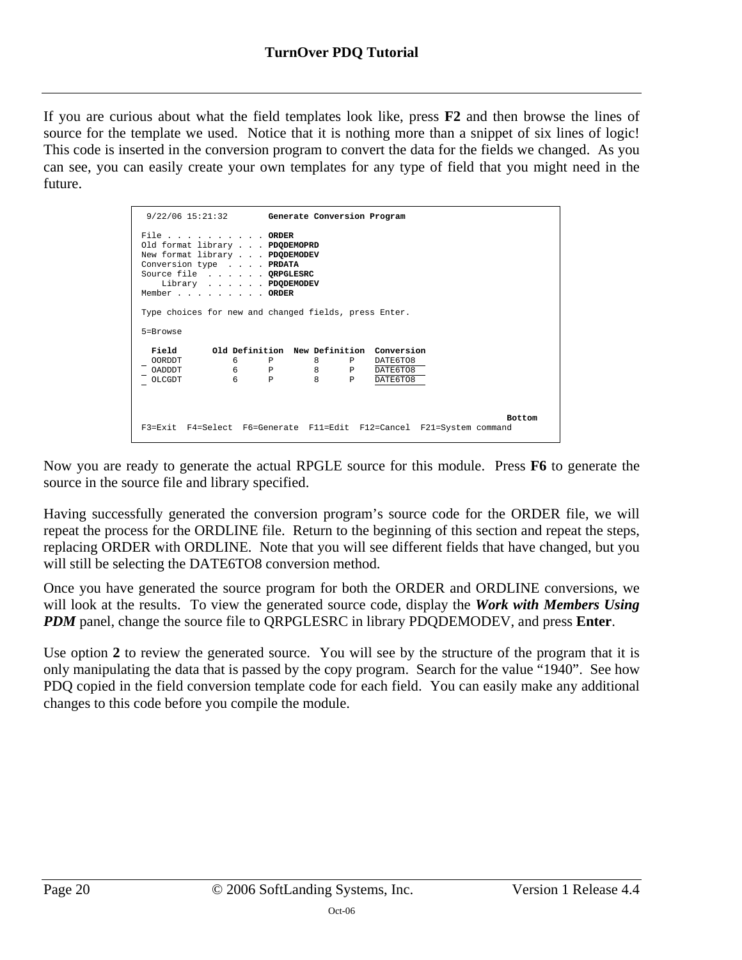If you are curious about what the field templates look like, press **F2** and then browse the lines of source for the template we used. Notice that it is nothing more than a snippet of six lines of logic! This code is inserted in the conversion program to convert the data for the fields we changed. As you can see, you can easily create your own templates for any type of field that you might need in the future.

| $9/22/06$ 15:21:32 Generate Conversion Program                                                                                                                        |                  |               |               |
|-----------------------------------------------------------------------------------------------------------------------------------------------------------------------|------------------|---------------|---------------|
| File ORDER<br>Old format library PDODEMOPRD<br>New format library PDQDEMODEV<br>Conversion type PRDATA<br>Source file ORPGLESRC<br>Library PDQDEMODEV<br>Member ORDER |                  |               |               |
| Type choices for new and changed fields, press Enter.                                                                                                                 |                  |               |               |
| 5=Browse                                                                                                                                                              |                  |               |               |
| Field 61d Definition New Definition Conversion                                                                                                                        |                  |               |               |
| <b>OORDDT</b>                                                                                                                                                         | 6 P 8 P DATE6TO8 |               |               |
| <b>CADDDT</b>                                                                                                                                                         | 6 P 8 P DATE6TO8 |               |               |
| $6$ $P$<br>OLCGDT                                                                                                                                                     | $8 - 1$          | P<br>DATE6TO8 |               |
|                                                                                                                                                                       |                  |               | <b>Bottom</b> |
| F3=Exit F4=Select F6=Generate F11=Edit F12=Cancel F21=System command                                                                                                  |                  |               |               |

Now you are ready to generate the actual RPGLE source for this module. Press **F6** to generate the source in the source file and library specified.

Having successfully generated the conversion program's source code for the ORDER file, we will repeat the process for the ORDLINE file. Return to the beginning of this section and repeat the steps, replacing ORDER with ORDLINE. Note that you will see different fields that have changed, but you will still be selecting the DATE6TO8 conversion method.

Once you have generated the source program for both the ORDER and ORDLINE conversions, we will look at the results. To view the generated source code, display the *Work with Members Using PDM* panel, change the source file to QRPGLESRC in library PDQDEMODEV, and press **Enter**.

Use option **2** to review the generated source. You will see by the structure of the program that it is only manipulating the data that is passed by the copy program. Search for the value "1940". See how PDQ copied in the field conversion template code for each field. You can easily make any additional changes to this code before you compile the module.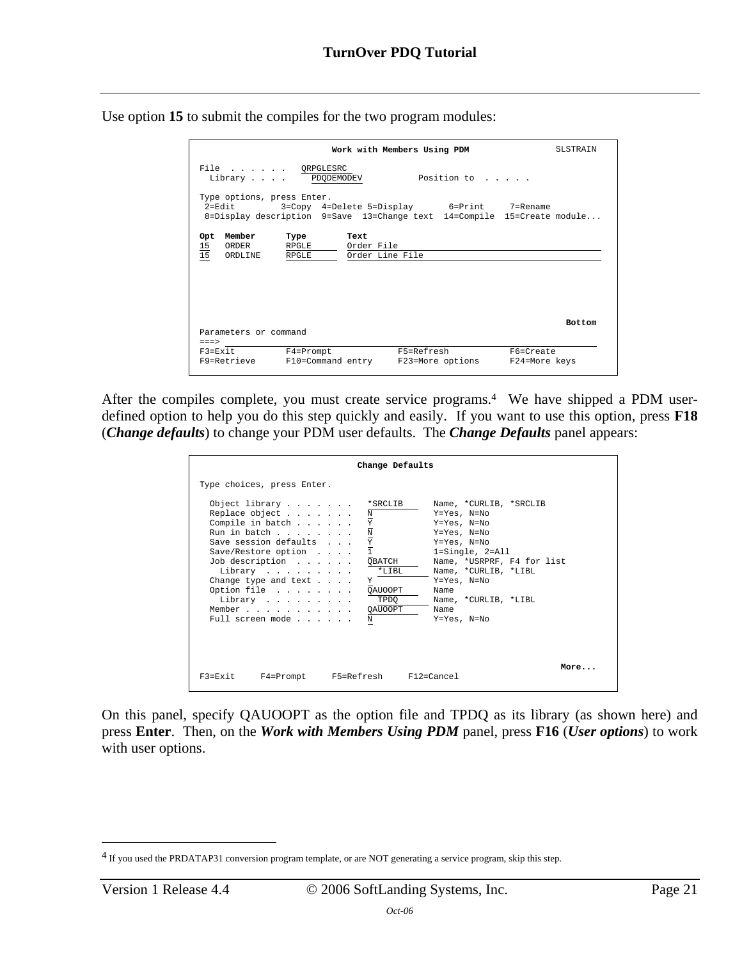Use option **15** to submit the compiles for the two program modules:

|                                                                                                                           |                                            | Work with Members Using PDM |            |                  |               | <b>SLSTRAIN</b> |
|---------------------------------------------------------------------------------------------------------------------------|--------------------------------------------|-----------------------------|------------|------------------|---------------|-----------------|
| File QRPGLESRC<br>Library PDQDEMODEV                                                                                      |                                            |                             |            | Position to      |               |                 |
| Type options, press Enter.<br>$2 = F d i t$<br>8=Display description $9=$ Save 13=Change text 14=Compile 15=Create module | 3=Copy 4=Delete 5=Display 6=Print 7=Rename |                             |            |                  |               |                 |
| Member<br>Opt<br>$\frac{15}{15}$<br>ORDER                                                                                 | Type<br>RPGLE                              | Text<br>Order File          |            |                  |               |                 |
| ORDLINE                                                                                                                   | RPGLE                                      | Order Line File             |            |                  |               |                 |
|                                                                                                                           |                                            |                             |            |                  |               |                 |
|                                                                                                                           |                                            |                             |            |                  |               |                 |
|                                                                                                                           |                                            |                             |            |                  |               | <b>Bottom</b>   |
| Parameters or command<br>$==->$                                                                                           |                                            |                             |            |                  |               |                 |
| $F3 = Exit$                                                                                                               | $F4 = Promp$                               |                             | F5=Refresh |                  | F6=Create     |                 |
| F9=Retrieve                                                                                                               | F10=Command entry                          |                             |            | F23=More options | F24=More keys |                 |

After the compiles complete, you must create service programs.<sup>4</sup> We have shipped a PDM userdefined option to help you do this step quickly and easily. If you want to use this option, press **F18** (*Change defaults*) to change your PDM user defaults. The *Change Defaults* panel appears:

|                                                                                                                                                                                                                                                                                    | Change Defaults                                                                                                                                                                                                                                                                                                                                          |
|------------------------------------------------------------------------------------------------------------------------------------------------------------------------------------------------------------------------------------------------------------------------------------|----------------------------------------------------------------------------------------------------------------------------------------------------------------------------------------------------------------------------------------------------------------------------------------------------------------------------------------------------------|
| Type choices, press Enter.                                                                                                                                                                                                                                                         |                                                                                                                                                                                                                                                                                                                                                          |
| Object library *SRCLIB<br>Replace object<br>Compile in batch<br>Run in batch<br>Save session defaults<br>Save/Restore option<br>Job description QBATCH<br>Library *LIBL<br>Change type and text $\ldots$ .<br>Option file QAUOOPT<br>Library<br>Member QAUOOPT<br>Full screen mode | Name, *CURLIB, *SRCLIB<br>Y=Yes, N=No<br>Ν<br>$\underline{\mathtt{Y}}$<br>Y=Yes, N=No<br>$\frac{\text{N}}{\text{Y}} \\ \frac{\text{Y}}{\text{1}}$<br>Y=Yes, N=No<br>Y=Yes, N=No<br>$1 =$ Single, $2 =$ All<br>Name, *USRPRF, F4 for list<br>Name, *CURLIB, *LIBL<br>Y=Yes, N=No<br>Y<br>Name<br>TPDO<br>Name, *CURLIB, *LIBL<br>Name<br>Y=Yes, N=No<br>N |
| $F3 = F \times i t$                                                                                                                                                                                                                                                                | More<br>F4=Prompt       F5=Refresh       F12=Cancel                                                                                                                                                                                                                                                                                                      |

On this panel, specify QAUOOPT as the option file and TPDQ as its library (as shown here) and press **Enter**. Then, on the *Work with Members Using PDM* panel, press **F16** (*User options*) to work with user options.

 $\overline{a}$ 

<span id="page-20-0"></span><sup>&</sup>lt;sup>4</sup> If you used the PRDATAP31 conversion program template, or are NOT generating a service program, skip this step.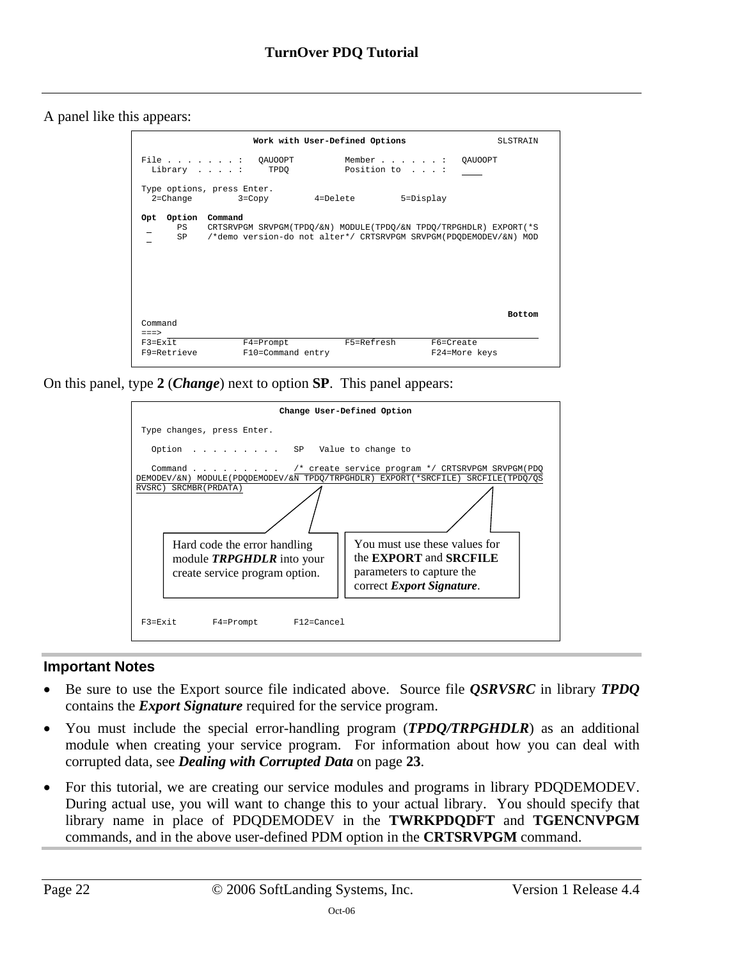A panel like this appears:

|                                                                                                                                                                                                                                                 |                                                                                                                                                      | Work with User-Defined Options | <b>SLSTRAIN</b>            |
|-------------------------------------------------------------------------------------------------------------------------------------------------------------------------------------------------------------------------------------------------|------------------------------------------------------------------------------------------------------------------------------------------------------|--------------------------------|----------------------------|
|                                                                                                                                                                                                                                                 | File : QAUOOPT<br>Library : TPDQ                                                                                                                     | Position to :                  | Member : QAUOOPT           |
|                                                                                                                                                                                                                                                 | Type options, press Enter.<br>$2 =$ Change $3 =$ Copy                                                                                                | 4=Delete                       | 5=Display                  |
| Option<br>Opt<br>PS and the set of the set of the set of the set of the set of the set of the set of the set of the set of the set of the set of the set of the set of the set of the set of the set of the set of the set of the set of the se | Command<br>CRTSRVPGM SRVPGM(TPDO/&N) MODULE(TPDO/&N TPDO/TRPGHDLR) EXPORT(*S<br>SP /*demo version-do not alter*/ CRTSRVPGM SRVPGM(PDODEMODEV/&N) MOD |                                |                            |
| Command<br>$===>$<br>$F3 = F \times i t$                                                                                                                                                                                                        |                                                                                                                                                      | F5=Refresh                     | <b>Bottom</b>              |
| F9=Retrieve                                                                                                                                                                                                                                     | F4=Prompt<br>F10=Command entry                                                                                                                       |                                | F6=Create<br>F24=More keys |

On this panel, type **2** (*Change*) next to option **SP**. This panel appears:



### **Important Notes**

- Be sure to use the Export source file indicated above. Source file *QSRVSRC* in library *TPDQ* contains the *Export Signature* required for the service program.
- You must include the special error-handling program (*TPDQ/TRPGHDLR*) as an additional module when creating your service program. For information about how you can deal with corrupted data, see *[Dealing with Corrupted Data](#page-22-0)* on page **[23](#page-22-0)**.
- For this tutorial, we are creating our service modules and programs in library PDQDEMODEV. During actual use, you will want to change this to your actual library. You should specify that library name in place of PDQDEMODEV in the **TWRKPDQDFT** and **TGENCNVPGM** commands, and in the above user-defined PDM option in the **CRTSRVPGM** command.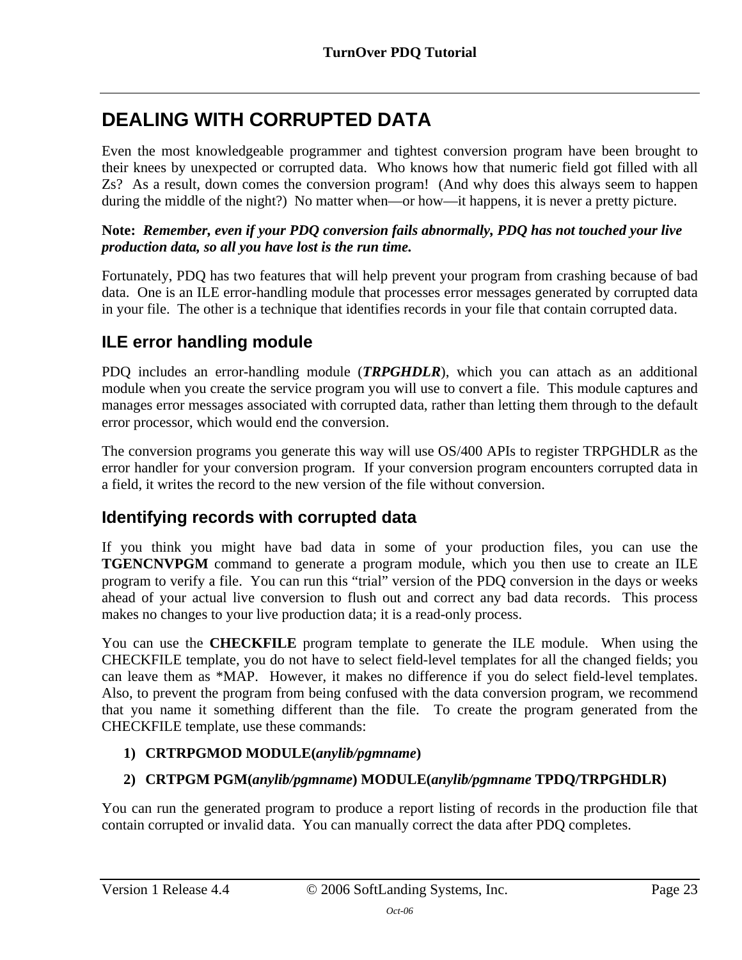# <span id="page-22-0"></span>**DEALING WITH CORRUPTED DATA**

Even the most knowledgeable programmer and tightest conversion program have been brought to their knees by unexpected or corrupted data. Who knows how that numeric field got filled with all Zs? As a result, down comes the conversion program! (And why does this always seem to happen during the middle of the night?) No matter when—or how—it happens, it is never a pretty picture.

### **Note:** *Remember, even if your PDQ conversion fails abnormally, PDQ has not touched your live production data, so all you have lost is the run time.*

Fortunately, PDQ has two features that will help prevent your program from crashing because of bad data. One is an ILE error-handling module that processes error messages generated by corrupted data in your file. The other is a technique that identifies records in your file that contain corrupted data.

## <span id="page-22-1"></span>**ILE error handling module**

PDQ includes an error-handling module (*TRPGHDLR*), which you can attach as an additional module when you create the service program you will use to convert a file. This module captures and manages error messages associated with corrupted data, rather than letting them through to the default error processor, which would end the conversion.

The conversion programs you generate this way will use OS/400 APIs to register TRPGHDLR as the error handler for your conversion program. If your conversion program encounters corrupted data in a field, it writes the record to the new version of the file without conversion.

### <span id="page-22-2"></span>**Identifying records with corrupted data**

If you think you might have bad data in some of your production files, you can use the **TGENCNVPGM** command to generate a program module, which you then use to create an ILE program to verify a file. You can run this "trial" version of the PDQ conversion in the days or weeks ahead of your actual live conversion to flush out and correct any bad data records. This process makes no changes to your live production data; it is a read-only process.

You can use the **CHECKFILE** program template to generate the ILE module. When using the CHECKFILE template, you do not have to select field-level templates for all the changed fields; you can leave them as \*MAP. However, it makes no difference if you do select field-level templates. Also, to prevent the program from being confused with the data conversion program, we recommend that you name it something different than the file. To create the program generated from the CHECKFILE template, use these commands:

### **1) CRTRPGMOD MODULE(***anylib/pgmname***)**

### **2) CRTPGM PGM(***anylib/pgmname***) MODULE(***anylib/pgmname* **TPDQ/TRPGHDLR)**

You can run the generated program to produce a report listing of records in the production file that contain corrupted or invalid data. You can manually correct the data after PDQ completes.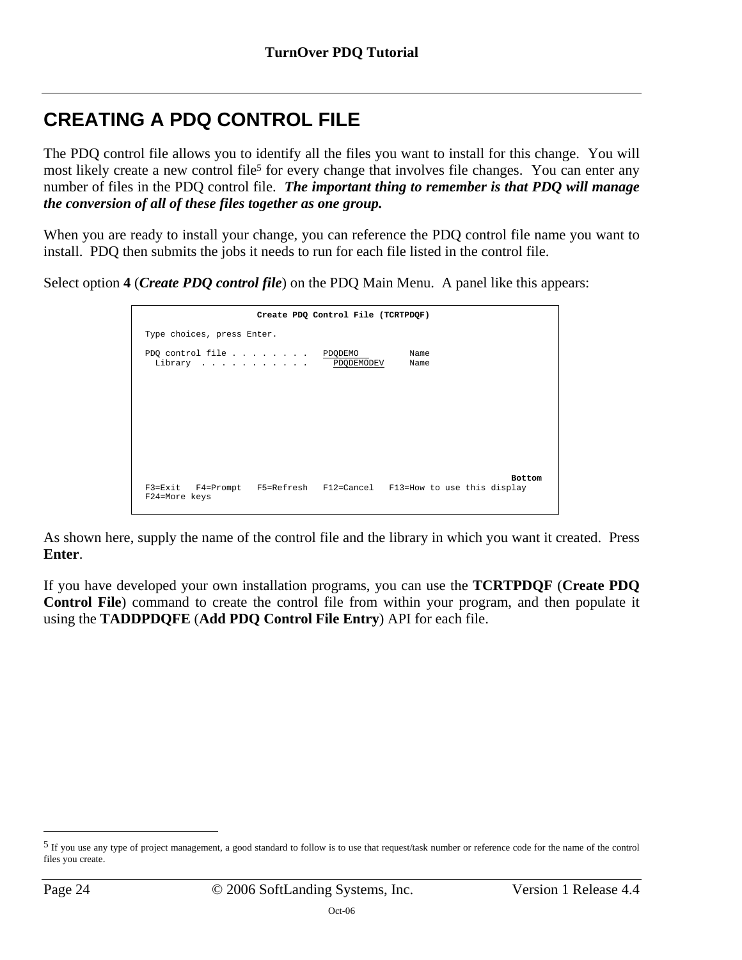# <span id="page-23-0"></span>**CREATING A PDQ CONTROL FILE**

The PDQ control file allows you to identify all the files you want to install for this change. You will most likely create a new control file<sup>5</sup> for every change that involves file changes. You can enter any number of files in the PDQ control [fil](#page-23-1)e. *The important thing to remember is that PDQ will manage the conversion of all of these files together as one group.*

When you are ready to install your change, you can reference the PDQ control file name you want to install. PDQ then submits the jobs it needs to run for each file listed in the control file.

Select option **4** (*Create PDQ control file*) on the PDQ Main Menu. A panel like this appears:

|                                                | Create PDQ Control File (TCRTPDQF)                                                   |
|------------------------------------------------|--------------------------------------------------------------------------------------|
| Type choices, press Enter.                     |                                                                                      |
| PDQ control file PDQDEMO<br>Library PDQDEMODEV | Name<br>Name                                                                         |
|                                                |                                                                                      |
|                                                |                                                                                      |
|                                                |                                                                                      |
| F24=More keys                                  | <b>Bottom</b><br>F3=Exit F4=Prompt F5=Refresh F12=Cancel F13=How to use this display |

As shown here, supply the name of the control file and the library in which you want it created. Press **Enter**.

If you have developed your own installation programs, you can use the **TCRTPDQF** (**Create PDQ Control File**) command to create the control file from within your program, and then populate it using the **TADDPDQFE** (**Add PDQ Control File Entry**) API for each file.

 $\overline{a}$ 

<span id="page-23-1"></span><sup>5</sup> If you use any type of project management, a good standard to follow is to use that request/task number or reference code for the name of the control files you create.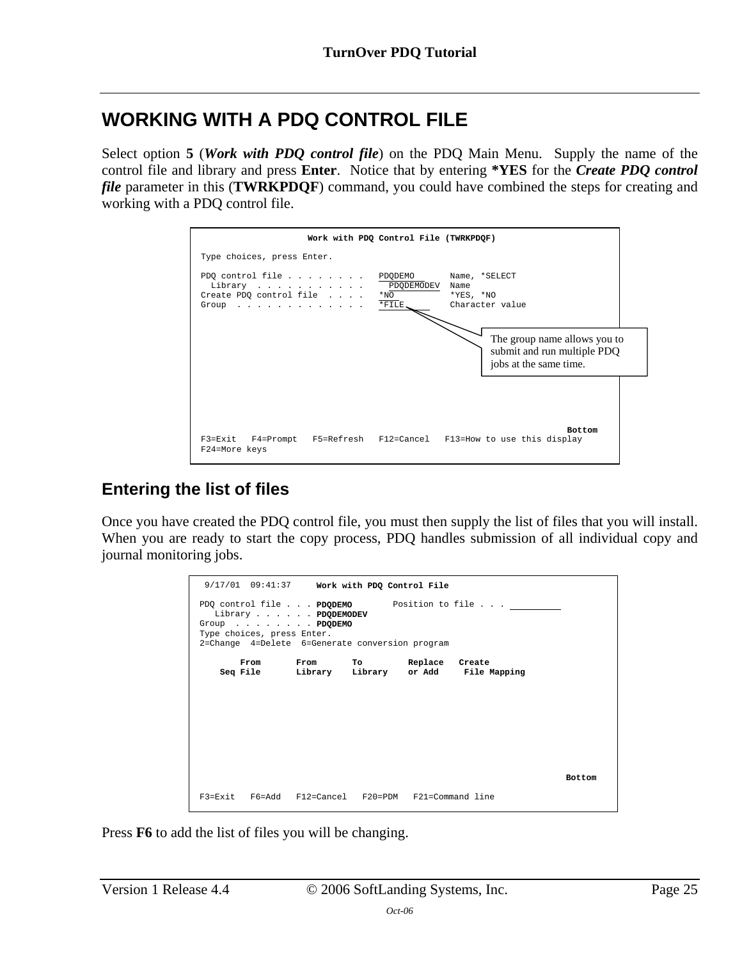# <span id="page-24-0"></span>**WORKING WITH A PDQ CONTROL FILE**

Select option **5** (*Work with PDQ control file*) on the PDQ Main Menu. Supply the name of the control file and library and press **Enter**. Notice that by entering **\*YES** for the *Create PDQ control file* parameter in this (**TWRKPDQF**) command, you could have combined the steps for creating and working with a PDQ control file.



## <span id="page-24-1"></span>**Entering the list of files**

Once you have created the PDQ control file, you must then supply the list of files that you will install. When you are ready to start the copy process, PDQ handles submission of all individual copy and journal monitoring jobs.

|                            | $9/17/01$ 09:41:37 Work with PDQ Control File                                          |  |                                              |               |
|----------------------------|----------------------------------------------------------------------------------------|--|----------------------------------------------|---------------|
| Type choices, press Enter. | Library PDODEMODEV<br>Group PDODEMO<br>2=Change 4=Delete 6=Generate conversion program |  | PDQ control file PDODEMO Position to file    |               |
|                            | From From To Replace Create                                                            |  | Seq File bibrary Library or Add File Mapping |               |
|                            |                                                                                        |  |                                              |               |
|                            |                                                                                        |  |                                              |               |
|                            |                                                                                        |  |                                              |               |
|                            |                                                                                        |  |                                              |               |
|                            |                                                                                        |  |                                              | <b>Bottom</b> |
|                            | $F3 = Fx$ it $F6 = Add$ $F12 = Canada$ $F20 = PDM$ $F21 = Command$                     |  |                                              |               |

Press **F6** to add the list of files you will be changing.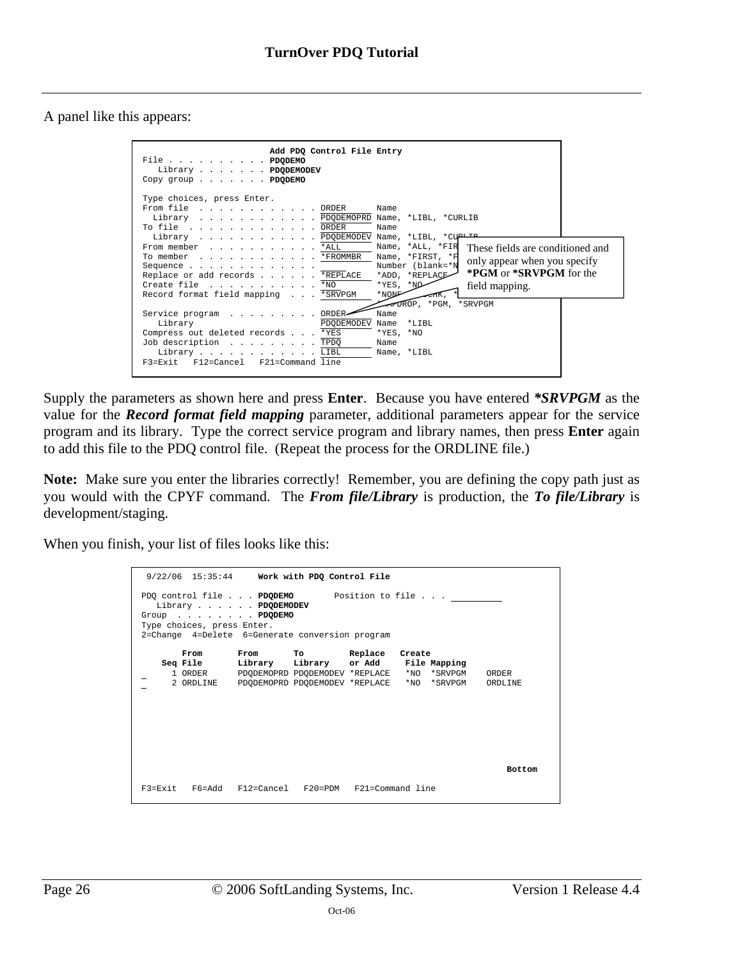A panel like this appears:

| Add PDQ Control File Entry<br>File PDQDEMO<br>Library PDQDEMODEV<br>Copy group $\ldots$ $\ldots$ <b>PDQDEMO</b> |  |
|-----------------------------------------------------------------------------------------------------------------|--|
| Type choices, press Enter.                                                                                      |  |
| From file ORDER<br>Name                                                                                         |  |
| Library PDODEMOPRD Name, *LIBL, *CURLIB                                                                         |  |
| To file ORDER<br>Name                                                                                           |  |
| Library PDODEMODEV Name, *LIBL, *CUPIII                                                                         |  |
| From member *ALL<br>Name, *ALL, *FIR<br>These fields are conditioned and                                        |  |
| Name, *FIRST, *F<br>To member *FROMMBR<br>only appear when you specify                                          |  |
| Number (blank=*N<br>Sequence                                                                                    |  |
| <b>*PGM</b> or <b>*SRVPGM</b> for the<br>*ADD, *REPLACE<br>Replace or add records *REPLACE                      |  |
| Create file *NO<br>$*$ YES, $*$ NO<br>field mapping.                                                            |  |
| *NON <sub>P</sub><br>Record format field mapping *SRVPGM                                                        |  |
| FIFIDROP, *PGM, *SRVPGM                                                                                         |  |
| ORDER-<br>Name<br>Service program                                                                               |  |
| Library<br>PDQDEMODEV Name<br>$*$ LTBL                                                                          |  |
| Compress out deleted records *YES<br>$*YES, *NO$                                                                |  |
| Job description TPDQ<br>Name                                                                                    |  |
| Library LIBL<br>Name, *LIBL                                                                                     |  |
| F3=Exit F12=Cancel F21=Command line                                                                             |  |

Supply the parameters as shown here and press **Enter**. Because you have entered *\*SRVPGM* as the value for the *Record format field mapping* parameter, additional parameters appear for the service program and its library. Type the correct service program and library names, then press **Enter** again to add this file to the PDQ control file. (Repeat the process for the ORDLINE file.)

**Note:** Make sure you enter the libraries correctly! Remember, you are defining the copy path just as you would with the CPYF command. The *From file/Library* is production, the *To file/Library* is development/staging.

When you finish, your list of files looks like this:

| $9/22/06$ 15:35:44 Work with PDQ Control File<br>PDQ control file PDQDEMO Position to file<br>Library PDQDEMODEV<br>Group PDQDEMO<br>Type choices, press Enter.<br>2=Change 4=Delete 6=Generate conversion program |                                                                         |  |  |                                                              |               |  |  |
|--------------------------------------------------------------------------------------------------------------------------------------------------------------------------------------------------------------------|-------------------------------------------------------------------------|--|--|--------------------------------------------------------------|---------------|--|--|
| From                                                                                                                                                                                                               | From To Replace Create                                                  |  |  |                                                              |               |  |  |
|                                                                                                                                                                                                                    |                                                                         |  |  | Seq File bibrary Library or Add File Mapping                 |               |  |  |
|                                                                                                                                                                                                                    |                                                                         |  |  | 1 ORDER PDODEMOPRD PDODEMODEV *REPLACE *NO *SRVPGM ORDER     |               |  |  |
|                                                                                                                                                                                                                    |                                                                         |  |  | 2 ORDLINE PDODEMOPRD PDODEMODEV *REPLACE *NO *SRVPGM ORDLINE |               |  |  |
|                                                                                                                                                                                                                    |                                                                         |  |  |                                                              |               |  |  |
|                                                                                                                                                                                                                    |                                                                         |  |  |                                                              | <b>Bottom</b> |  |  |
|                                                                                                                                                                                                                    | $F3 = Fx$ it $F6 = Add$ $F12 = Cancel$ $F20 = PDM$ $F21 = Command$ line |  |  |                                                              |               |  |  |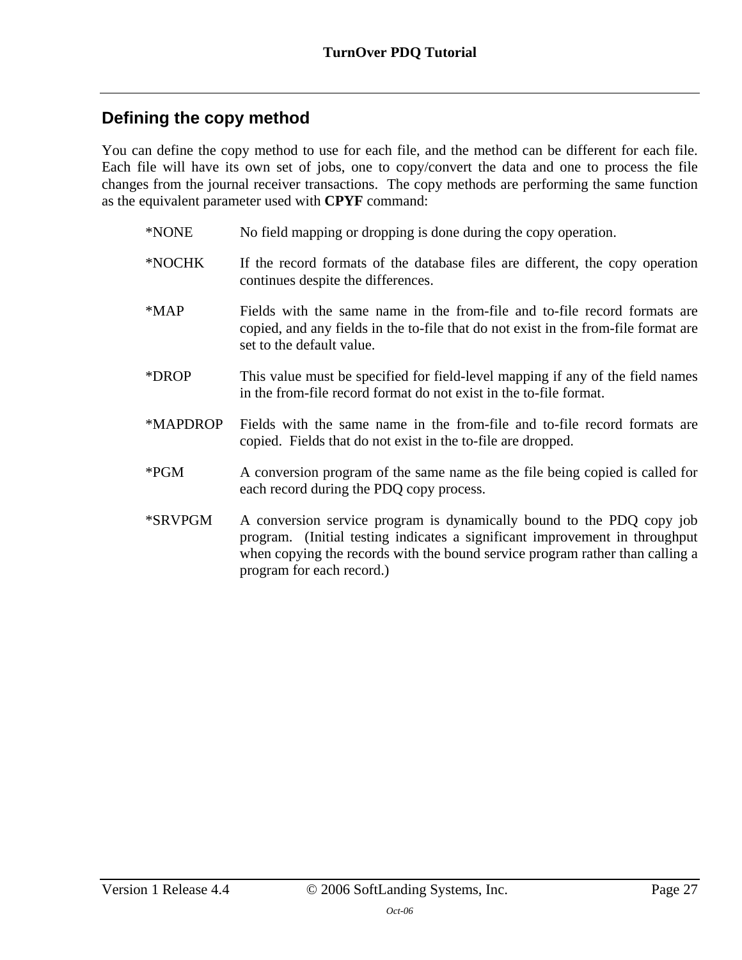## <span id="page-26-0"></span>**Defining the copy method**

You can define the copy method to use for each file, and the method can be different for each file. Each file will have its own set of jobs, one to copy/convert the data and one to process the file changes from the journal receiver transactions. The copy methods are performing the same function as the equivalent parameter used with **CPYF** command:

- \*NONE No field mapping or dropping is done during the copy operation.
- \*NOCHK If the record formats of the database files are different, the copy operation continues despite the differences.
- \*MAP Fields with the same name in the from-file and to-file record formats are copied, and any fields in the to-file that do not exist in the from-file format are set to the default value.
- \*DROP This value must be specified for field-level mapping if any of the field names in the from-file record format do not exist in the to-file format.
- \*MAPDROP Fields with the same name in the from-file and to-file record formats are copied. Fields that do not exist in the to-file are dropped.
- \*PGM A conversion program of the same name as the file being copied is called for each record during the PDQ copy process.
- \*SRVPGM A conversion service program is dynamically bound to the PDQ copy job program. (Initial testing indicates a significant improvement in throughput when copying the records with the bound service program rather than calling a program for each record.)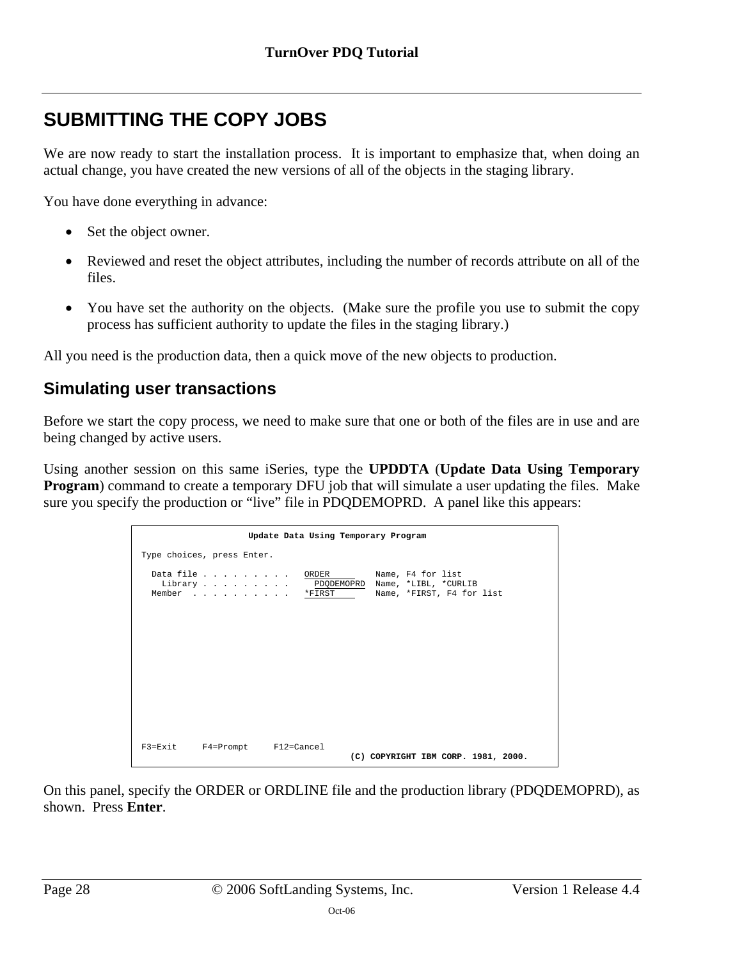# <span id="page-27-0"></span>**SUBMITTING THE COPY JOBS**

We are now ready to start the installation process. It is important to emphasize that, when doing an actual change, you have created the new versions of all of the objects in the staging library.

You have done everything in advance:

- Set the object owner.
- Reviewed and reset the object attributes, including the number of records attribute on all of the files.
- You have set the authority on the objects. (Make sure the profile you use to submit the copy process has sufficient authority to update the files in the staging library.)

All you need is the production data, then a quick move of the new objects to production.

### <span id="page-27-1"></span>**Simulating user transactions**

Before we start the copy process, we need to make sure that one or both of the files are in use and are being changed by active users.

Using another session on this same iSeries, type the **UPDDTA** (**Update Data Using Temporary Program**) command to create a temporary DFU job that will simulate a user updating the files. Make sure you specify the production or "live" file in PDQDEMOPRD. A panel like this appears:

|                                | Update Data Using Temporary Program |                                                                                   |  |
|--------------------------------|-------------------------------------|-----------------------------------------------------------------------------------|--|
| Type choices, press Enter.     |                                     |                                                                                   |  |
| Data file<br>Library<br>Member | ORDER<br>*FIRST                     | Name, F4 for list<br>PDQDEMOPRD Name, *LIBL, *CURLIB<br>Name, *FIRST, F4 for list |  |
|                                |                                     |                                                                                   |  |
|                                |                                     |                                                                                   |  |
|                                |                                     |                                                                                   |  |
| F3=Exit F4=Prompt F12=Cancel   |                                     | (C) COPYRIGHT IBM CORP. 1981, 2000.                                               |  |

On this panel, specify the ORDER or ORDLINE file and the production library (PDQDEMOPRD), as shown. Press **Enter**.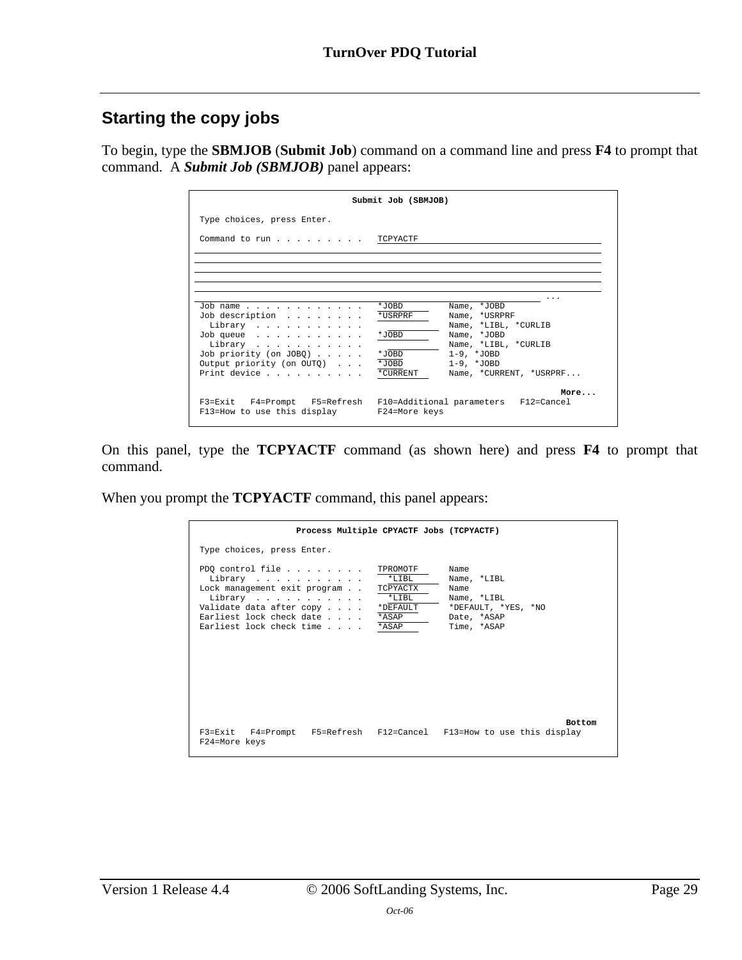### <span id="page-28-0"></span>**Starting the copy jobs**

To begin, type the **SBMJOB** (**Submit Job**) command on a command line and press **F4** to prompt that command. A *Submit Job (SBMJOB)* panel appears:

|                                                     | Submit Job (SBMJOB)                                                       |
|-----------------------------------------------------|---------------------------------------------------------------------------|
| Type choices, press Enter.                          |                                                                           |
| Command to run TCPYACTF                             |                                                                           |
|                                                     |                                                                           |
|                                                     |                                                                           |
| Job name                                            | *JOBD<br>Name, *JOBD                                                      |
| Job description<br>Library                          | *USRPRF<br>Name, *USRPRF<br>Name, *LIBL, *CURLIB                          |
| Job queue<br>Library                                | *JOBD<br>Name, *JOBD<br>Name, *LIBL, *CURLIB                              |
| Job priority (on JOBQ)<br>Output priority (on OUTQ) | *JOBD<br>$1-9.$ *JOBD<br>*JOBD<br>$1-9.$ *JOBD                            |
| Print device                                        | *CURRENT<br>Name, *CURRENT, *USRPRF                                       |
| F13=How to use this display F24=More keys           | More<br>F3=Exit F4=Prompt F5=Refresh F10=Additional parameters F12=Cancel |

On this panel, type the **TCPYACTF** command (as shown here) and press **F4** to prompt that command.

When you prompt the **TCPYACTF** command, this panel appears:

<span id="page-28-1"></span>

| Process Multiple CPYACTF Jobs (TCPYACTF)                                                                                                                                                                                                         |                                                                                                 |
|--------------------------------------------------------------------------------------------------------------------------------------------------------------------------------------------------------------------------------------------------|-------------------------------------------------------------------------------------------------|
| Type choices, press Enter.                                                                                                                                                                                                                       |                                                                                                 |
| PDQ control file $\ldots$<br>TPROMOTF<br>$*$ T. T B T.<br>Library<br>Lock management exit program<br>TCPYACTX<br>$*$ LIBL<br>Library<br>Validate data after copy<br>*DEFAULT<br>Earliest lock check date *ASAP<br>Earliest lock check time *ASAP | Name<br>Name, *LIBL<br>Name<br>Name, *LIBL<br>*DEFAULT, *YES, *NO<br>Date, *ASAP<br>Time, *ASAP |
| F3=Exit F4=Prompt F5=Refresh F12=Cancel F13=How to use this display<br>F24=More keys                                                                                                                                                             | <b>Bottom</b>                                                                                   |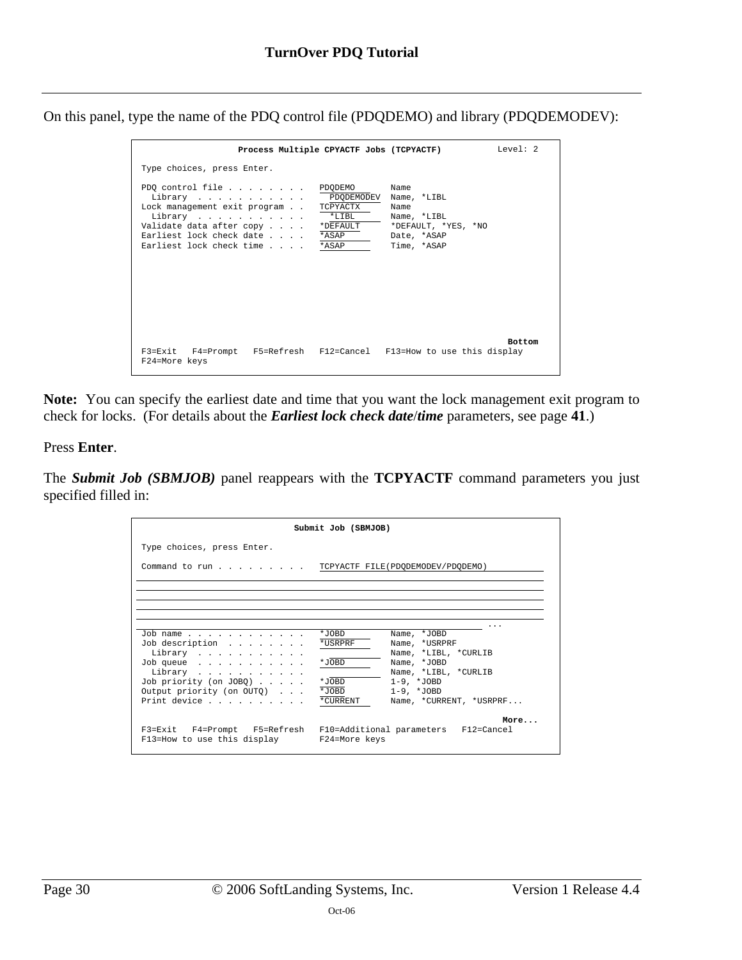On this panel, type the name of the PDQ control file (PDQDEMO) and library (PDQDEMODEV):

| Process Multiple CPYACTF Jobs (TCPYACTF)                                                                                                                          |                                                                      |                                                                                                 | Level: 2      |
|-------------------------------------------------------------------------------------------------------------------------------------------------------------------|----------------------------------------------------------------------|-------------------------------------------------------------------------------------------------|---------------|
| Type choices, press Enter.                                                                                                                                        |                                                                      |                                                                                                 |               |
| PDQ control file<br>Library<br>Lock management exit program<br>Library<br>Validate data after copy<br>Earliest lock check date<br>Earliest lock check time * ASAP | PDODEMO<br>PDODEMODEV<br>TCPYACTX<br>$*$ T.TBT.<br>*DEFAULT<br>*ASAP | Name<br>Name, *LIBL<br>Name<br>Name, *LIBL<br>*DEFAULT, *YES, *NO<br>Date, *ASAP<br>Time, *ASAP |               |
| F3=Exit F4=Prompt F5=Refresh F12=Cancel F13=How to use this display<br>F24=More keys                                                                              |                                                                      |                                                                                                 | <b>Bottom</b> |

**Note:** You can specify the earliest date and time that you want the lock management exit program to check for locks. (For details about the *Earliest lock check date*/*time* parameters, see page **[41](#page-40-0)**.)

Press **Enter**.

The *Submit Job (SBMJOB)* panel reappears with the **TCPYACTF** command parameters you just specified filled in:

|                                                                                                                | Submit Job (SBMJOB) |                         |
|----------------------------------------------------------------------------------------------------------------|---------------------|-------------------------|
| Type choices, press Enter.                                                                                     |                     |                         |
| Command to run TCPYACTF FILE(PDODEMODEV/PDODEMO)                                                               |                     |                         |
|                                                                                                                |                     |                         |
|                                                                                                                |                     |                         |
| Job name                                                                                                       | *JOBD               | Name, *JOBD             |
| Job description                                                                                                | *USRPRF             | Name, *USRPRF           |
| Library                                                                                                        |                     | Name, *LIBL, *CURLIB    |
| Job queue                                                                                                      | *JOBD               | Name, *JOBD             |
| Library                                                                                                        |                     | Name, *LIBL, *CURLIB    |
| Job priority (on JOBQ) $\ldots$ .                                                                              | *JOBD               | $1-9.$ *JOBD            |
| Output priority (on OUTQ)                                                                                      | *JOBD               | $1-9.$ *JOBD            |
| Print device                                                                                                   | *CURRENT            | Name, *CURRENT, *USRPRF |
| F3=Exit F4=Prompt F5=Refresh F10=Additional parameters F12=Cancel<br>F13=How to use this display F24=More keys |                     | More                    |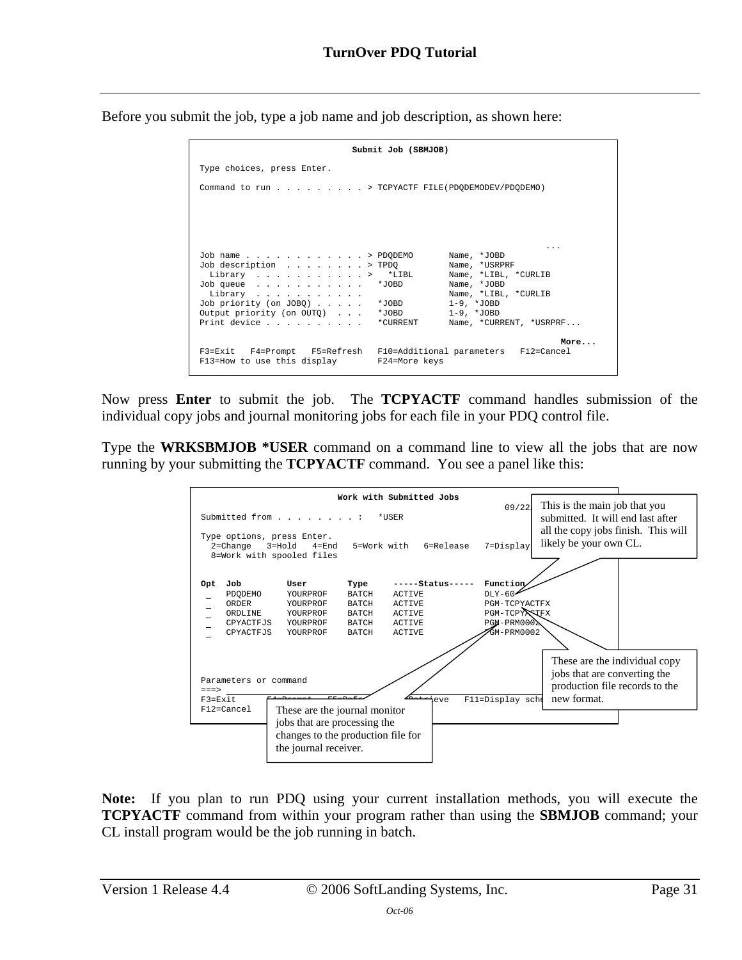Before you submit the job, type a job name and job description, as shown here:

|                                                     | Submit Job (SBMJOB)                                                       |
|-----------------------------------------------------|---------------------------------------------------------------------------|
| Type choices, press Enter.                          |                                                                           |
| Command to run > TCPYACTF FILE (PDQDEMODEV/PDQDEMO) |                                                                           |
|                                                     |                                                                           |
|                                                     |                                                                           |
|                                                     |                                                                           |
| Job name > PDQDEMO                                  | Name, *JOBD                                                               |
| Job description > TPDQ<br>Library > *LIBL           | Name, *USRPRF<br>Name, *LIBL, *CURLIB                                     |
| Job queue                                           | Name, *JOBD<br>*JOBD *                                                    |
| Library<br>Job priority (on JOBQ)                   | Name, *LIBL, *CURLIB<br>$*$ .JOBD<br>$1-9.$ *JOBD                         |
| Output priority (on OUTO)<br>Print device *CURRENT  | $1-9.$ *JOBD<br>*JOBD *<br>Name, *CURRENT, *USRPRF                        |
|                                                     |                                                                           |
| F13=How to use this display F24=More keys           | More<br>F3=Exit F4=Prompt F5=Refresh F10=Additional parameters F12=Cancel |

Now press **Enter** to submit the job. The **TCPYACTF** command handles submission of the individual copy jobs and journal monitoring jobs for each file in your PDQ control file.

Type the **WRKSBMJOB \*USER** command on a command line to view all the jobs that are now running by your submitting the **TCPYACTF** command. You see a panel like this:

<span id="page-30-0"></span>

**Note:** If you plan to run PDQ using your current installation methods, you will execute the **TCPYACTF** command from within your program rather than using the **SBMJOB** command; your CL install program would be the job running in batch.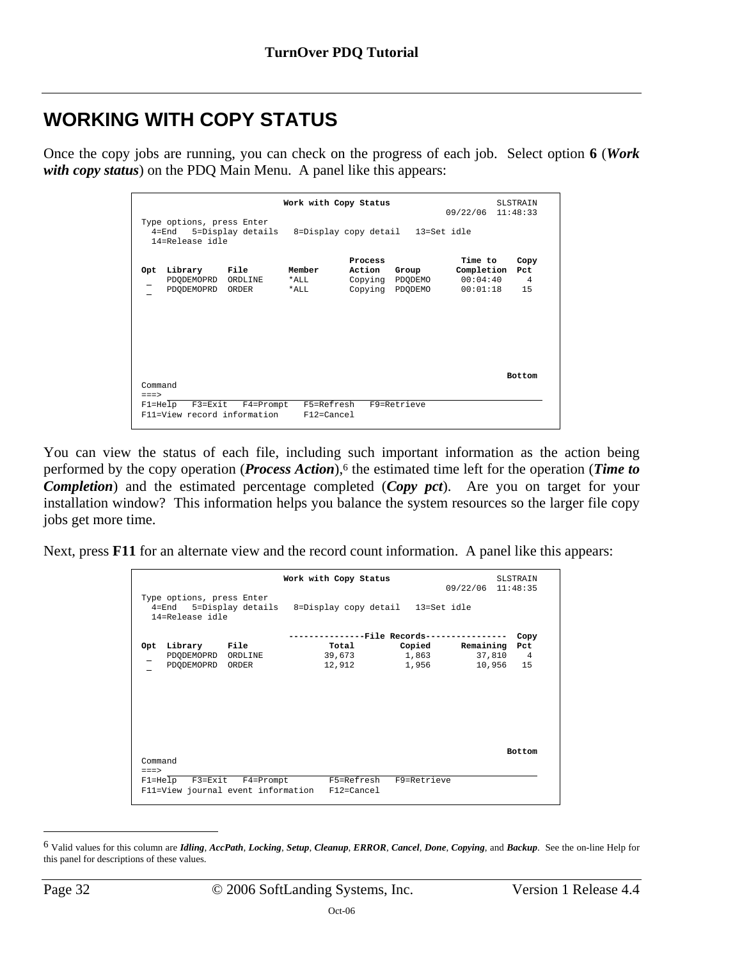# <span id="page-31-0"></span>**WORKING WITH COPY STATUS**

Once the copy jobs are running, you can check on the progress of each job. Select option **6** (*Work with copy status*) on the PDQ Main Menu. A panel like this appears:

|         |                                                                                                           |           | Work with Copy Status    |                   |                                             | 09/22/06 11:48:33                             | <b>SLSTRAIN</b>                     |
|---------|-----------------------------------------------------------------------------------------------------------|-----------|--------------------------|-------------------|---------------------------------------------|-----------------------------------------------|-------------------------------------|
|         | Type options, press Enter<br>4=End 5=Display details 8=Display copy detail 13=Set idle<br>14=Release idle |           |                          |                   |                                             |                                               |                                     |
| Opt     | Library<br>PDQDEMOPRD ORDLINE<br>PDODEMOPRD ORDER                                                         | File      | Member<br>*ALL<br>*ALL   | Process<br>Action | Group<br>Copying PDQDEMO<br>Copying PDODEMO | Time to<br>Completion<br>00:04:40<br>00:01:18 | Copy<br>Pct<br>$\overline{4}$<br>15 |
| Command |                                                                                                           |           |                          |                   |                                             |                                               | <b>Bottom</b>                       |
| $==$    | $F1 = He1p$ $F3 = Exit$<br>F11=View record information                                                    | F4=Prompt | F5=Refresh<br>F12=Cancel |                   | F9=Retrieve                                 |                                               |                                     |

You can view the status of each file, including such important information as the action being performed by the copy operation (*Process Action*),<sup>6</sup> the estimated time left for the operation (*Time to Com[ple](#page-31-1)tion*) and the estimated percentage completed (*Copy pct*). Are you on target for your installation window? This information helps you balance the system resources so the larger file copy jobs get more time.

Next, press **F11** for an alternate view and the record count information. A panel like this appears:

|         |                                              |                           | Work with Copy Status                                     |             | 09/22/06 11:48:35 | SLSTRAIN      |
|---------|----------------------------------------------|---------------------------|-----------------------------------------------------------|-------------|-------------------|---------------|
|         | Type options, press Enter<br>14=Release idle |                           | 4=End 5=Display details 8=Display copy detail 13=Set idle |             |                   |               |
|         |                                              |                           |                                                           |             |                   | Copy          |
| Opt     | Library File                                 |                           | Total                                                     | Copied      | Remaining         | Pct           |
|         | PDODEMOPRD ORDLINE                           |                           | 39,673                                                    | 1,863       | 37,810 4          |               |
|         | PDODEMOPRD ORDER                             |                           | 12,912                                                    | 1,956       | 10,956 15         |               |
|         |                                              |                           |                                                           |             |                   | <b>Bottom</b> |
| Command |                                              |                           |                                                           |             |                   |               |
| $==$    |                                              | F1=Help F3=Exit F4=Prompt | F5=Refresh                                                | F9=Retrieve |                   |               |
|         |                                              |                           | F11=View journal event information F12=Cancel             |             |                   |               |

<span id="page-31-1"></span><sup>6</sup> Valid values for this column are *Idling*, *AccPath*, *Locking*, *Setup*, *Cleanup*, *ERROR*, *Cancel*, *Done*, *Copying*, and *Backup*. See the on-line Help for this panel for descriptions of these values.

 $\overline{a}$ 

Page 32 © 2006 SoftLanding Systems, Inc. Version 1 Release 4.4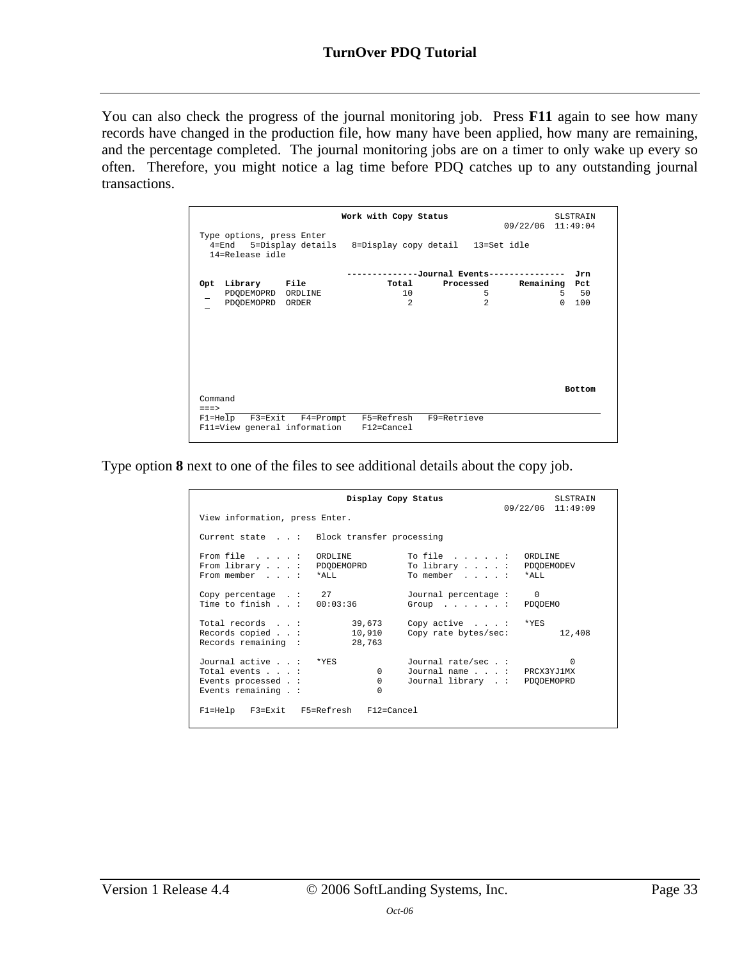You can also check the progress of the journal monitoring job. Press **F11** again to see how many records have changed in the production file, how many have been applied, how many are remaining, and the percentage completed. The journal monitoring jobs are on a timer to only wake up every so often. Therefore, you might notice a lag time before PDQ catches up to any outstanding journal transactions.

|                 |                                              | Work with Copy Status                                                                       |                                    | 09/22/06 11:49:04 | <b>SLSTRAIN</b> |
|-----------------|----------------------------------------------|---------------------------------------------------------------------------------------------|------------------------------------|-------------------|-----------------|
|                 | Type options, press Enter<br>14=Release idle | 4=End 5=Display details 8=Display copy detail 13=Set idle                                   |                                    |                   |                 |
|                 |                                              |                                                                                             | ---------Journal Events----------- |                   | Jrn             |
| Opt             | Library File                                 | Total                                                                                       | Processed                          | Remaining Pct     |                 |
|                 | PDODEMOPRD ORDLINE                           | 10                                                                                          | 5                                  |                   | 50<br>.5        |
|                 | PDODEMOPRD ORDER                             | $\mathfrak{D}$                                                                              | $\mathfrak{D}$                     |                   | $\Omega$<br>100 |
|                 |                                              |                                                                                             |                                    |                   | <b>Bottom</b>   |
| Command<br>$==$ |                                              |                                                                                             |                                    |                   |                 |
|                 |                                              | F1=Help F3=Exit F4=Prompt F5=Refresh F9=Retrieve<br>F11=View general information F12=Cancel |                                    |                   |                 |

Type option **8** next to one of the files to see additional details about the copy job.

|                                                                                        | Display Copy Status              |                                                                                     | <b>SLSTRAIN</b><br>09/22/06 11:49:09 |
|----------------------------------------------------------------------------------------|----------------------------------|-------------------------------------------------------------------------------------|--------------------------------------|
| View information, press Enter.                                                         |                                  |                                                                                     |                                      |
| Current state : Block transfer processing                                              |                                  |                                                                                     |                                      |
| From file : ORDLINE<br>From library $\ldots$ :<br>From member : *ALL                   | PDODEMOPRD                       | To file : ORDLINE<br>To library $\dots$ $\vdots$<br>To member : *ALL                | PDODEMODEV                           |
| Copy percentage $\therefore$ 27<br>Time to finish $\ldots$ : 00:03:36                  |                                  | Journal percentage: 0<br>Group PDODEMO                                              |                                      |
| Total records :<br>Records copied :<br>Records remaining :                             | 39,673<br>10,910<br>28,763       | Copy active $\ldots$ $\vdots$ *YES<br>Copy rate bytes/sec:                          | 12,408                               |
| Journal active : *YES<br>Total events :<br>Events processed . :<br>Events remaining .: | $\Omega$<br>$\Omega$<br>$\Omega$ | Journal rate/sec . :<br>Journal name : PRCX3YJ1MX<br>Journal library . : PDODEMOPRD | $\Omega$                             |
| Fl=Help F3=Exit F5=Refresh F12=Cancel                                                  |                                  |                                                                                     |                                      |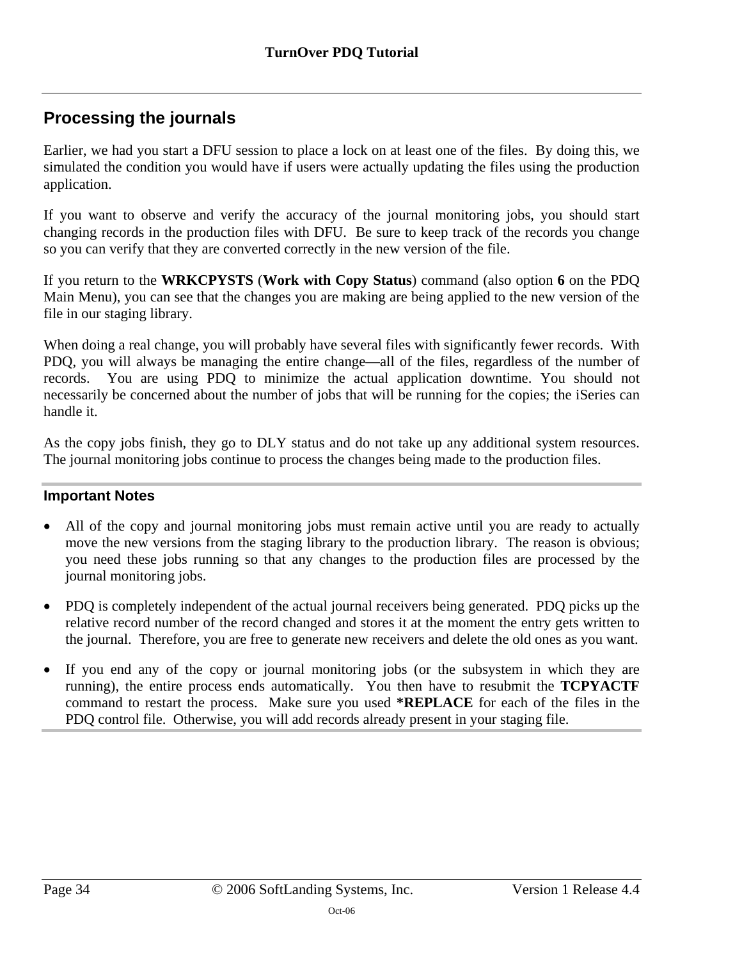## <span id="page-33-0"></span>**Processing the journals**

Earlier, we had you start a DFU session to place a lock on at least one of the files. By doing this, we simulated the condition you would have if users were actually updating the files using the production application.

If you want to observe and verify the accuracy of the journal monitoring jobs, you should start changing records in the production files with DFU. Be sure to keep track of the records you change so you can verify that they are converted correctly in the new version of the file.

If you return to the **WRKCPYSTS** (**Work with Copy Status**) command (also option **6** on the PDQ Main Menu), you can see that the changes you are making are being applied to the new version of the file in our staging library.

When doing a real change, you will probably have several files with significantly fewer records. With PDQ, you will always be managing the entire change—all of the files, regardless of the number of records. You are using PDQ to minimize the actual application downtime. You should not necessarily be concerned about the number of jobs that will be running for the copies; the iSeries can handle it.

As the copy jobs finish, they go to DLY status and do not take up any additional system resources. The journal monitoring jobs continue to process the changes being made to the production files.

### **Important Notes**

- All of the copy and journal monitoring jobs must remain active until you are ready to actually move the new versions from the staging library to the production library.The reason is obvious; you need these jobs running so that any changes to the production files are processed by the journal monitoring jobs.
- PDQ is completely independent of the actual journal receivers being generated. PDQ picks up the relative record number of the record changed and stores it at the moment the entry gets written to the journal. Therefore, you are free to generate new receivers and delete the old ones as you want.
- If you end any of the copy or journal monitoring jobs (or the subsystem in which they are running), the entire process ends automatically. You then have to resubmit the **TCPYACTF** command to restart the process. Make sure you used **\*REPLACE** for each of the files in the PDQ control file. Otherwise, you will add records already present in your staging file.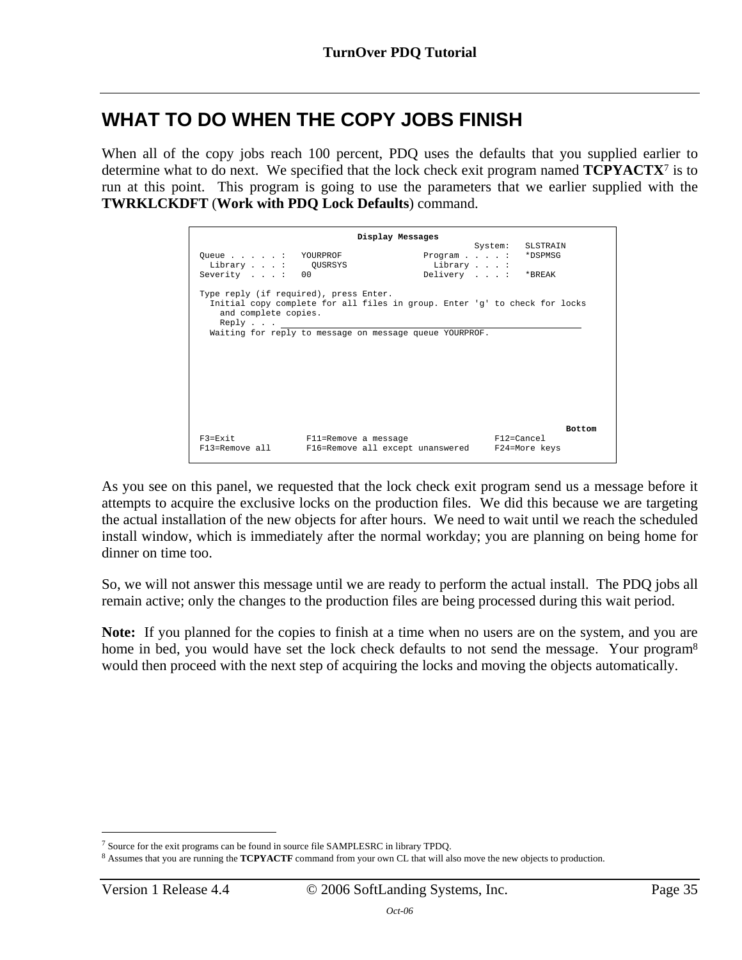# <span id="page-34-0"></span>**WHAT TO DO WHEN THE COPY JOBS FINISH**

When all of the copy jobs reach 100 percent, PDQ uses the defaults that you supplied earlier to determine what to do next. We specified that the lock check exit program named **TCPYACTX**<sup>7</sup> is to run at this point. This program is going to use the parameters that we earlier supplied wi[th](#page-34-1) the **TWRKLCKDFT** (**Work with PDQ Lock Defaults**) command.

| Display Messages                                                        |                                                                                                                                       |                                                    |            |                  |               |
|-------------------------------------------------------------------------|---------------------------------------------------------------------------------------------------------------------------------------|----------------------------------------------------|------------|------------------|---------------|
| Queue: YOURPROF<br>Library : QUSRSYS<br>Severity : 00                   |                                                                                                                                       | Program * DSPMSG<br>Library :<br>Delivery : *BREAK |            | System: SLSTRAIN |               |
| Type reply (if required), press Enter.<br>and complete copies.<br>Reply | Initial copy complete for all files in group. Enter 'g' to check for locks<br>Waiting for reply to message on message queue YOURPROF. |                                                    |            |                  |               |
|                                                                         |                                                                                                                                       |                                                    |            |                  |               |
|                                                                         |                                                                                                                                       |                                                    |            |                  | <b>Bottom</b> |
| $F3 = Fx i t$<br>F13=Remove all                                         | Fll=Remove a message<br>F16=Remove all except unanswered F24=More keys                                                                |                                                    | F12=Cancel |                  |               |

As you see on this panel, we requested that the lock check exit program send us a message before it attempts to acquire the exclusive locks on the production files. We did this because we are targeting the actual installation of the new objects for after hours. We need to wait until we reach the scheduled install window, which is immediately after the normal workday; you are planning on being home for dinner on time too.

So, we will not answer this message until we are ready to perform the actual install. The PDQ jobs all remain active; only the changes to the production files are being processed during this wait period.

Note: If you planned for the copies to finish at a time when no users are on the system, and you are ho[m](#page-34-2)e in bed, you would have set the lock check defaults to not send the message. Your program<sup>8</sup> would then proceed with the next step of acquiring the locks and moving the objects automatically.

<span id="page-34-1"></span><sup>&</sup>lt;u>.</u> 7 Source for the exit programs can be found in source file SAMPLESRC in library TPDQ.

<span id="page-34-2"></span><sup>8</sup> Assumes that you are running the **TCPYACTF** command from your own CL that will also move the new objects to production.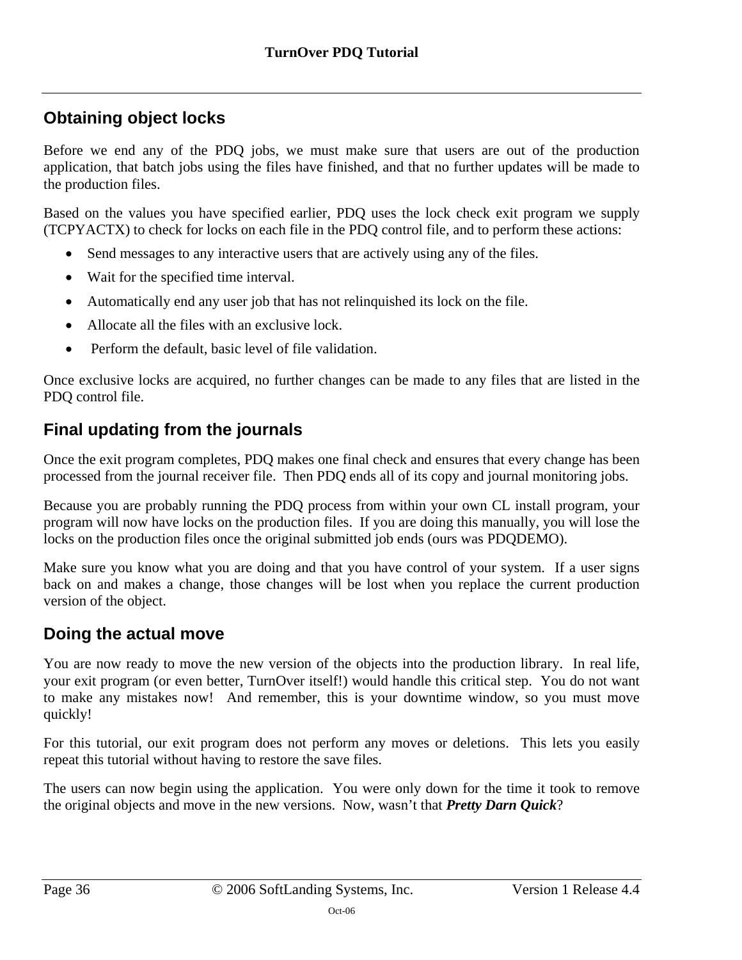## <span id="page-35-0"></span>**Obtaining object locks**

Before we end any of the PDQ jobs, we must make sure that users are out of the production application, that batch jobs using the files have finished, and that no further updates will be made to the production files.

Based on the values you have specified earlier, PDQ uses the lock check exit program we supply (TCPYACTX) to check for locks on each file in the PDQ control file, and to perform these actions:

- Send messages to any interactive users that are actively using any of the files.
- Wait for the specified time interval.
- Automatically end any user job that has not relinquished its lock on the file.
- Allocate all the files with an exclusive lock.
- Perform the default, basic level of file validation.

Once exclusive locks are acquired, no further changes can be made to any files that are listed in the PDQ control file.

### <span id="page-35-1"></span>**Final updating from the journals**

Once the exit program completes, PDQ makes one final check and ensures that every change has been processed from the journal receiver file. Then PDQ ends all of its copy and journal monitoring jobs.

Because you are probably running the PDQ process from within your own CL install program, your program will now have locks on the production files. If you are doing this manually, you will lose the locks on the production files once the original submitted job ends (ours was PDQDEMO).

Make sure you know what you are doing and that you have control of your system. If a user signs back on and makes a change, those changes will be lost when you replace the current production version of the object.

## <span id="page-35-2"></span>**Doing the actual move**

You are now ready to move the new version of the objects into the production library. In real life, your exit program (or even better, TurnOver itself!) would handle this critical step. You do not want to make any mistakes now! And remember, this is your downtime window, so you must move quickly!

For this tutorial, our exit program does not perform any moves or deletions. This lets you easily repeat this tutorial without having to restore the save files.

The users can now begin using the application. You were only down for the time it took to remove the original objects and move in the new versions. Now, wasn't that *Pretty Darn Quick*?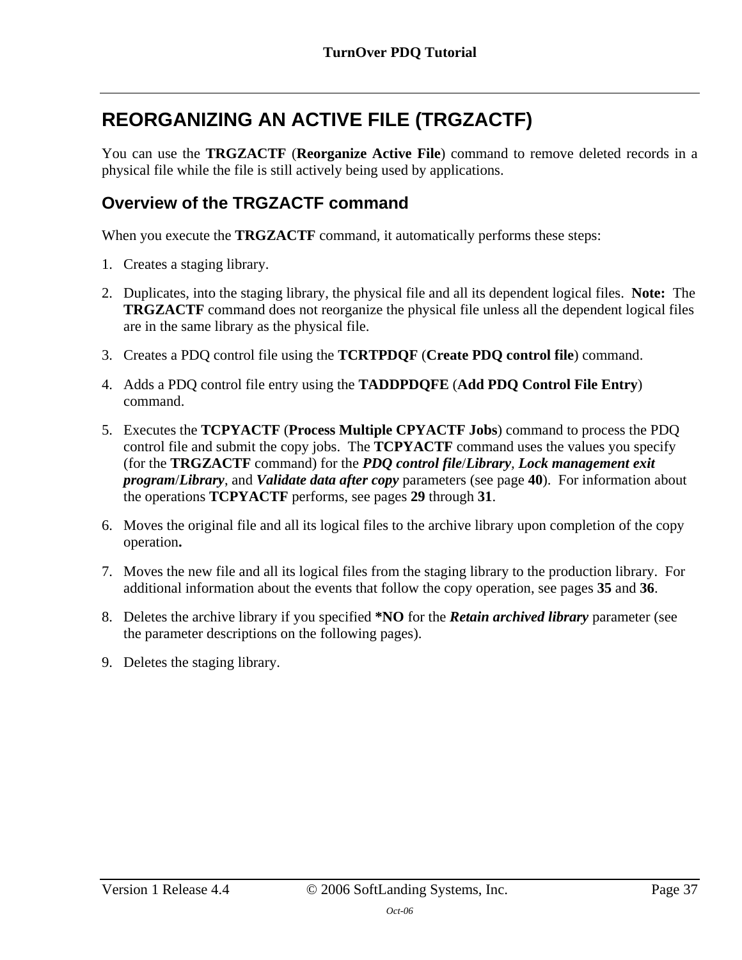# <span id="page-36-0"></span>**REORGANIZING AN ACTIVE FILE (TRGZACTF)**

You can use the **TRGZACTF** (**Reorganize Active File**) command to remove deleted records in a physical file while the file is still actively being used by applications.

### <span id="page-36-1"></span>**Overview of the TRGZACTF command**

When you execute the **TRGZACTF** command, it automatically performs these steps:

- 1. Creates a staging library.
- 2. Duplicates, into the staging library, the physical file and all its dependent logical files. **Note:** The **TRGZACTF** command does not reorganize the physical file unless all the dependent logical files are in the same library as the physical file.
- 3. Creates a PDQ control file using the **TCRTPDQF** (**Create PDQ control file**) command.
- 4. Adds a PDQ control file entry using the **TADDPDQFE** (**Add PDQ Control File Entry**) command.
- 5. Executes the **TCPYACTF** (**Process Multiple CPYACTF Jobs**) command to process the PDQ control file and submit the copy jobs. The **TCPYACTF** command uses the values you specify (for the **TRGZACTF** command) for the *PDQ control file*/*Library, Lock management exit program*/*Library*, and *Validate data after copy* parameters (see page **[40](#page-39-0)**). For information about the operations **TCPYACTF** performs, see pages **[29](#page-28-0)** through **[31](#page-30-0)**.
- 6. Moves the original file and all its logical files to the archive library upon completion of the copy operation**.**
- 7. Moves the new file and all its logical files from the staging library to the production library. For additional information about the events that follow the copy operation, see pages **[35](#page-34-0)** and **[36](#page-35-2)**.
- 8. Deletes the archive library if you specified **\*NO** for the *Retain archived library* parameter (see the parameter descriptions on the following pages).
- 9. Deletes the staging library.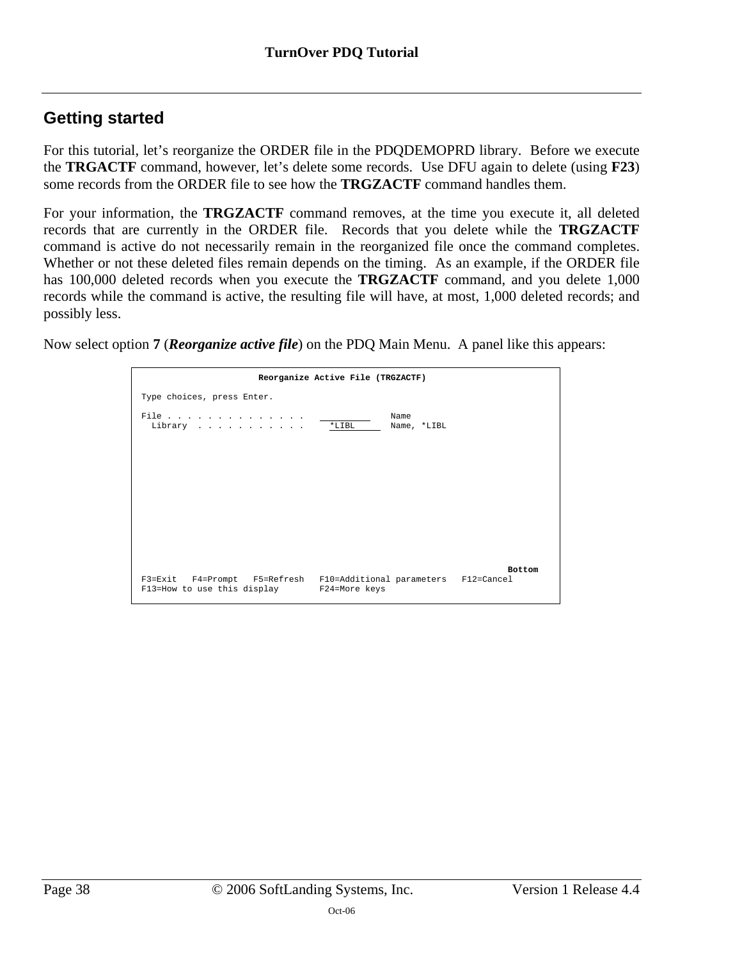## <span id="page-37-0"></span>**Getting started**

For this tutorial, let's reorganize the ORDER file in the PDQDEMOPRD library. Before we execute the **TRGACTF** command, however, let's delete some records. Use DFU again to delete (using **F23**) some records from the ORDER file to see how the **TRGZACTF** command handles them.

For your information, the **TRGZACTF** command removes, at the time you execute it, all deleted records that are currently in the ORDER file. Records that you delete while the **TRGZACTF** command is active do not necessarily remain in the reorganized file once the command completes. Whether or not these deleted files remain depends on the timing. As an example, if the ORDER file has 100,000 deleted records when you execute the **TRGZACTF** command, and you delete 1,000 records while the command is active, the resulting file will have, at most, 1,000 deleted records; and possibly less.

Now select option **7** (*Reorganize active file*) on the PDQ Main Menu. A panel like this appears:

|                                                                                                                | Reorganize Active File (TRGZACTF) |               |
|----------------------------------------------------------------------------------------------------------------|-----------------------------------|---------------|
| Type choices, press Enter.                                                                                     |                                   |               |
| File<br>Library                                                                                                | Name<br>$*LIBL$<br>Name, *LIBL    |               |
|                                                                                                                |                                   |               |
|                                                                                                                |                                   |               |
|                                                                                                                |                                   |               |
|                                                                                                                |                                   |               |
| F3=Exit F4=Prompt F5=Refresh F10=Additional parameters F12=Cancel<br>F13=How to use this display F24=More keys |                                   | <b>Bottom</b> |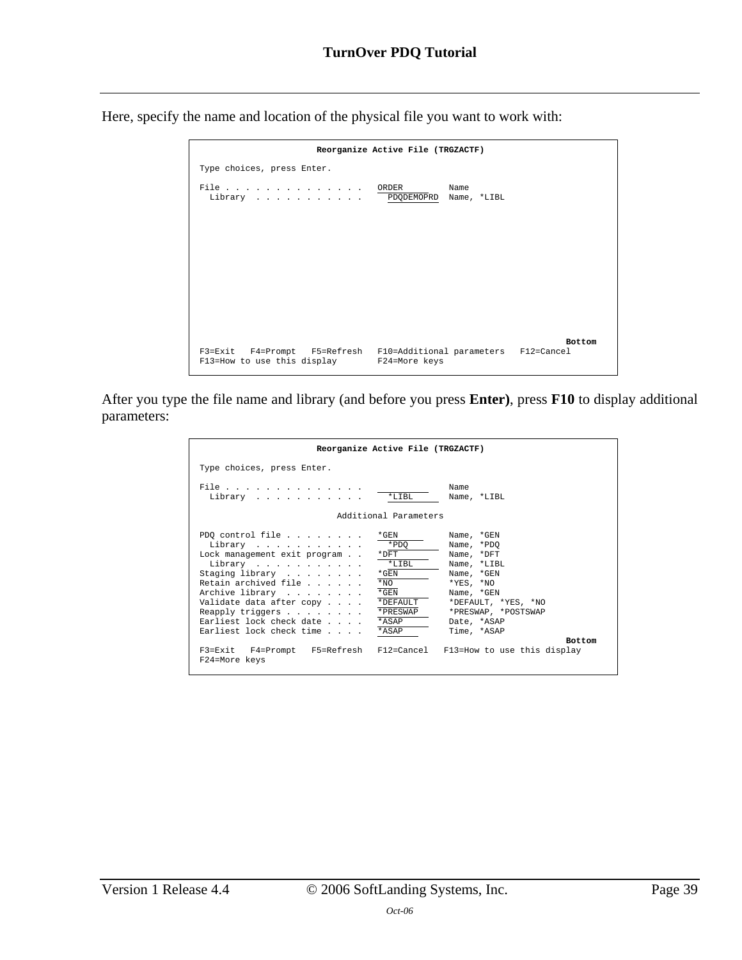Here, specify the name and location of the physical file you want to work with:

|                                                                                                                | Reorganize Active File (TRGZACTF) |               |
|----------------------------------------------------------------------------------------------------------------|-----------------------------------|---------------|
| Type choices, press Enter.                                                                                     |                                   |               |
| File ORDER<br>Library PDQDEMOPRD                                                                               | Name<br>Name, *LIBL               |               |
|                                                                                                                |                                   |               |
|                                                                                                                |                                   |               |
|                                                                                                                |                                   |               |
|                                                                                                                |                                   |               |
| F3=Exit F4=Prompt F5=Refresh F10=Additional parameters F12=Cancel<br>F13=How to use this display F24=More keys |                                   | <b>Bottom</b> |

After you type the file name and library (and before you press **Enter)**, press **F10** to display additional parameters:

| Reorganize Active File (TRGZACTF)                                                                                                                                                                                                                                                                                                                                                  |                                                                                                                                                                                  |
|------------------------------------------------------------------------------------------------------------------------------------------------------------------------------------------------------------------------------------------------------------------------------------------------------------------------------------------------------------------------------------|----------------------------------------------------------------------------------------------------------------------------------------------------------------------------------|
| Type choices, press Enter.                                                                                                                                                                                                                                                                                                                                                         |                                                                                                                                                                                  |
| File<br>*LIBL<br>Library                                                                                                                                                                                                                                                                                                                                                           | Name<br>Name, *LIBL                                                                                                                                                              |
| Additional Parameters                                                                                                                                                                                                                                                                                                                                                              |                                                                                                                                                                                  |
| PDQ control file $\ldots$<br>*GEN<br>*PDO<br>Library<br>Lock management exit program<br>$*$ DFT<br>$*$ LTBL<br>Library<br>Staging library<br>$\star$ GEN<br>Retain archived file<br>$*NO$<br>Archive library<br>$*$ GEN<br>Validate data after copy<br>*DEFAULT<br>Reapply triggers $\ldots$<br>*PRESWAP<br>Earliest lock check date<br>*ASAP<br>Earliest lock check time<br>*ASAP | Name, *GEN<br>Name, *PDO<br>Name, *DFT<br>Name, *LIBL<br>Name, *GEN<br>$*$ YES, $*$ NO<br>Name, *GEN<br>*DEFAULT, *YES, *NO<br>*PRESWAP, *POSTSWAP<br>Date, *ASAP<br>Time, *ASAP |
| F3=Exit F4=Prompt F5=Refresh F12=Cancel F13=How to use this display<br>F24=More keys                                                                                                                                                                                                                                                                                               | <b>Bottom</b>                                                                                                                                                                    |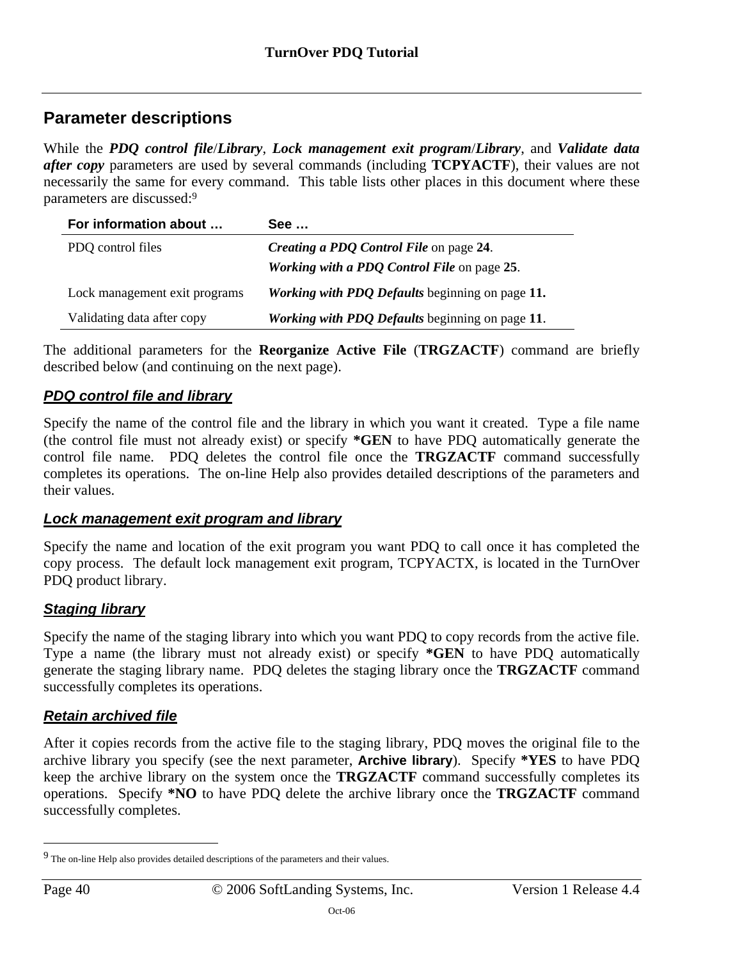### <span id="page-39-0"></span>**Parameter descriptions**

While the *PDQ control file*/*Library*, *Lock management exit program*/*Library*, and *Validate data after copy* parameters are used by several commands (including **TCPYACTF**), their values are not necessarily the same for every command. This table lists other places in this document where these parameters are discussed:9

| For information about         | See …                                                  |
|-------------------------------|--------------------------------------------------------|
| PDQ control files             | <i>Creating a PDQ Control File</i> on page 24.         |
|                               | Working with a PDO Control File on page 25.            |
| Lock management exit programs | Working with PDQ Defaults beginning on page 11.        |
| Validating data after copy    | <b>Working with PDQ Defaults beginning on page 11.</b> |

The additional parameters for the **Reorganize Active File** (**TRGZACTF**) command are briefly described below (and continuing on the next page).

### *PDQ control file and library*

Specify the name of the control file and the library in which you want it created. Type a file name (the control file must not already exist) or specify **\*GEN** to have PDQ automatically generate the control file name. PDQ deletes the control file once the **TRGZACTF** command successfully completes its operations. The on-line Help also provides detailed descriptions of the parameters and their values.

### *Lock management exit program and library*

Specify the name and location of the exit program you want PDQ to call once it has completed the copy process. The default lock management exit program, TCPYACTX, is located in the TurnOver PDQ product library.

### *Staging library*

Specify the name of the staging library into which you want PDQ to copy records from the active file. Type a name (the library must not already exist) or specify **\*GEN** to have PDQ automatically generate the staging library name. PDQ deletes the staging library once the **TRGZACTF** command successfully completes its operations.

### *Retain archived file*

After it copies records from the active file to the staging library, PDQ moves the original file to the archive library you specify (see the next parameter, **Archive library**). Specify **\*YES** to have PDQ keep the archive library on the system once the **TRGZACTF** command successfully completes its operations. Specify **\*NO** to have PDQ delete the archive library once the **TRGZACTF** command successfully completes.

 $\overline{a}$ 

<span id="page-39-1"></span><sup>9</sup> The on-line Help also provides detailed descriptions of the parameters and their values.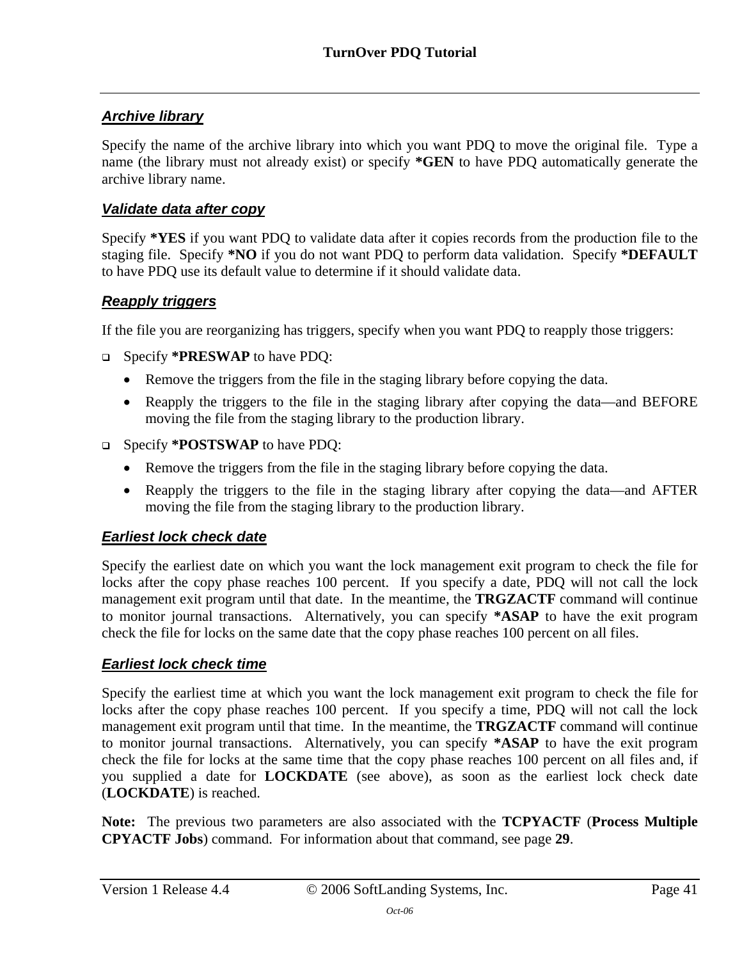### *Archive library*

Specify the name of the archive library into which you want PDQ to move the original file. Type a name (the library must not already exist) or specify **\*GEN** to have PDQ automatically generate the archive library name.

### *Validate data after copy*

Specify **\*YES** if you want PDQ to validate data after it copies records from the production file to the staging file. Specify **\*NO** if you do not want PDQ to perform data validation. Specify **\*DEFAULT** to have PDQ use its default value to determine if it should validate data.

### *Reapply triggers*

If the file you are reorganizing has triggers, specify when you want PDQ to reapply those triggers:

- Specify **\*PRESWAP** to have PDQ:
	- Remove the triggers from the file in the staging library before copying the data.
	- Reapply the triggers to the file in the staging library after copying the data—and BEFORE moving the file from the staging library to the production library.
- Specify **\*POSTSWAP** to have PDQ:
	- Remove the triggers from the file in the staging library before copying the data.
	- Reapply the triggers to the file in the staging library after copying the data—and AFTER moving the file from the staging library to the production library.

### <span id="page-40-0"></span>*Earliest lock check date*

Specify the earliest date on which you want the lock management exit program to check the file for locks after the copy phase reaches 100 percent. If you specify a date, PDQ will not call the lock management exit program until that date. In the meantime, the **TRGZACTF** command will continue to monitor journal transactions. Alternatively, you can specify **\*ASAP** to have the exit program check the file for locks on the same date that the copy phase reaches 100 percent on all files.

### *Earliest lock check time*

Specify the earliest time at which you want the lock management exit program to check the file for locks after the copy phase reaches 100 percent. If you specify a time, PDQ will not call the lock management exit program until that time. In the meantime, the **TRGZACTF** command will continue to monitor journal transactions. Alternatively, you can specify **\*ASAP** to have the exit program check the file for locks at the same time that the copy phase reaches 100 percent on all files and, if you supplied a date for **LOCKDATE** (see above), as soon as the earliest lock check date (**LOCKDATE**) is reached.

**Note:** The previous two parameters are also associated with the **TCPYACTF** (**Process Multiple CPYACTF Jobs**) command. For information about that command, see page **[29](#page-28-1)**.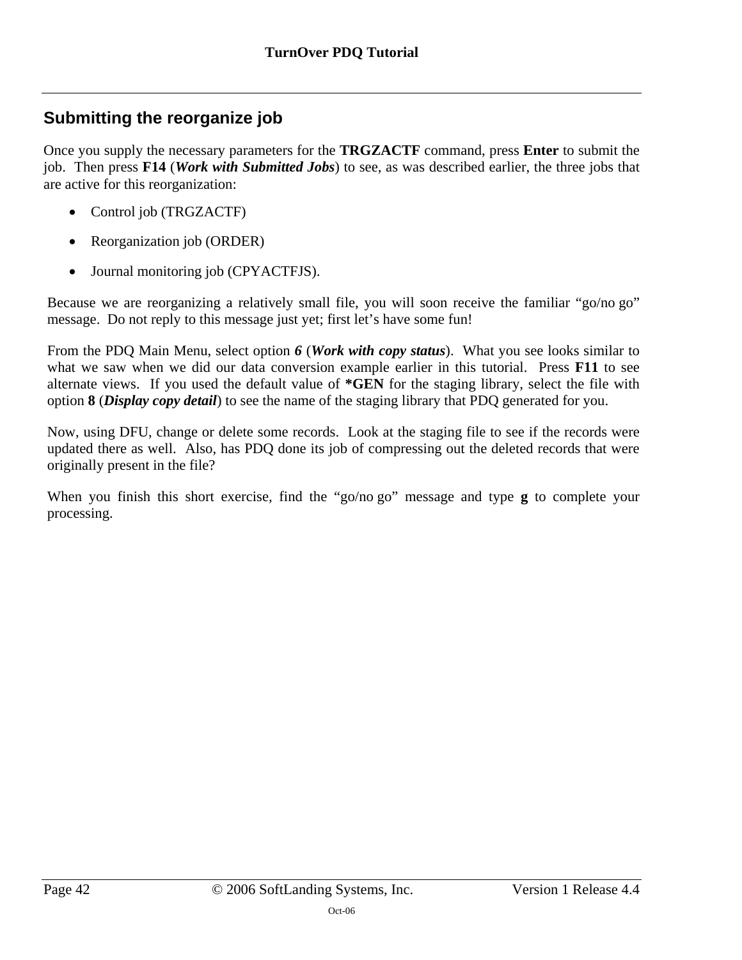## <span id="page-41-0"></span>**Submitting the reorganize job**

Once you supply the necessary parameters for the **TRGZACTF** command, press **Enter** to submit the job. Then press **F14** (*Work with Submitted Jobs*) to see, as was described earlier, the three jobs that are active for this reorganization:

- Control job (TRGZACTF)
- Reorganization job (ORDER)
- Journal monitoring job (CPYACTFJS).

Because we are reorganizing a relatively small file, you will soon receive the familiar "go/no go" message. Do not reply to this message just yet; first let's have some fun!

From the PDQ Main Menu, select option *6* (*Work with copy status*). What you see looks similar to what we saw when we did our data conversion example earlier in this tutorial. Press **F11** to see alternate views. If you used the default value of **\*GEN** for the staging library, select the file with option **8** (*Display copy detail*) to see the name of the staging library that PDQ generated for you.

Now, using DFU, change or delete some records. Look at the staging file to see if the records were updated there as well. Also, has PDQ done its job of compressing out the deleted records that were originally present in the file?

When you finish this short exercise, find the "go/no go" message and type **g** to complete your processing.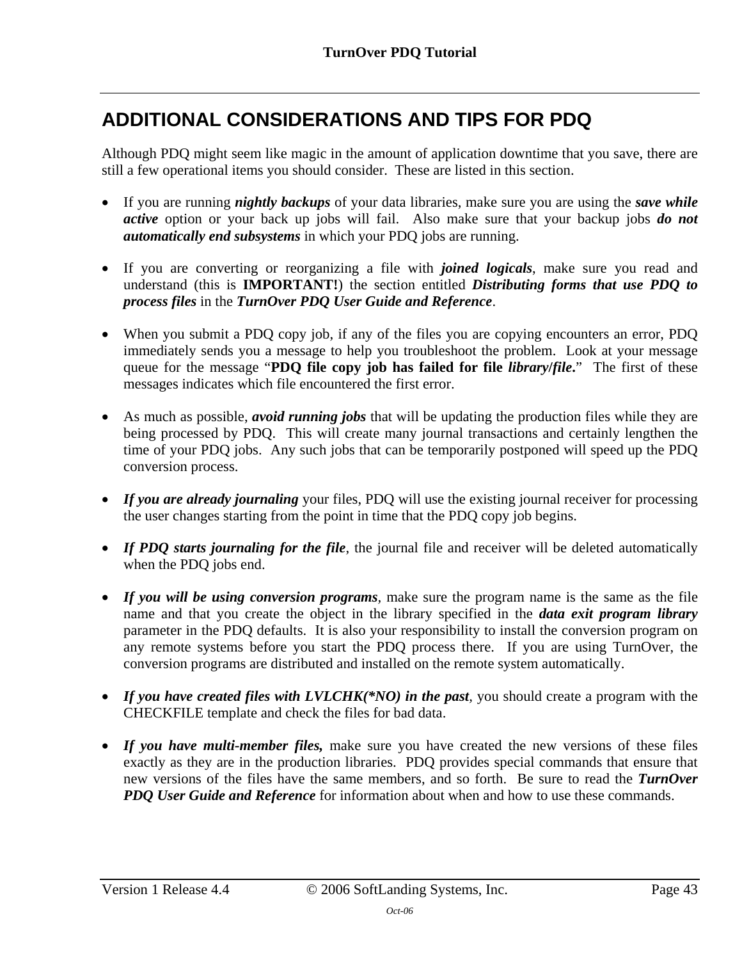# <span id="page-42-0"></span>**ADDITIONAL CONSIDERATIONS AND TIPS FOR PDQ**

Although PDQ might seem like magic in the amount of application downtime that you save, there are still a few operational items you should consider. These are listed in this section.

- If you are running *nightly backups* of your data libraries, make sure you are using the *save while active* option or your back up jobs will fail. Also make sure that your backup jobs *do not automatically end subsystems* in which your PDQ jobs are running.
- If you are converting or reorganizing a file with *joined logicals*, make sure you read and understand (this is **IMPORTANT!**) the section entitled *Distributing forms that use PDQ to process files* in the *TurnOver PDQ User Guide and Reference*.
- When you submit a PDQ copy job, if any of the files you are copying encounters an error, PDQ immediately sends you a message to help you troubleshoot the problem. Look at your message queue for the message "**PDQ file copy job has failed for file** *library***/***file***.**" The first of these messages indicates which file encountered the first error.
- As much as possible, *avoid running jobs* that will be updating the production files while they are being processed by PDQ. This will create many journal transactions and certainly lengthen the time of your PDQ jobs. Any such jobs that can be temporarily postponed will speed up the PDQ conversion process.
- *If you are already journaling* your files, PDQ will use the existing journal receiver for processing the user changes starting from the point in time that the PDQ copy job begins.
- If PDO starts journaling for the file, the journal file and receiver will be deleted automatically when the PDQ jobs end.
- *If you will be using conversion programs,* make sure the program name is the same as the file name and that you create the object in the library specified in the *data exit program library* parameter in the PDQ defaults. It is also your responsibility to install the conversion program on any remote systems before you start the PDQ process there. If you are using TurnOver, the conversion programs are distributed and installed on the remote system automatically.
- *If you have created files with LVLCHK(\*NO) in the past*, you should create a program with the CHECKFILE template and check the files for bad data.
- *If you have multi-member files,* make sure you have created the new versions of these files exactly as they are in the production libraries. PDQ provides special commands that ensure that new versions of the files have the same members, and so forth. Be sure to read the *TurnOver PDO User Guide and Reference* for information about when and how to use these commands.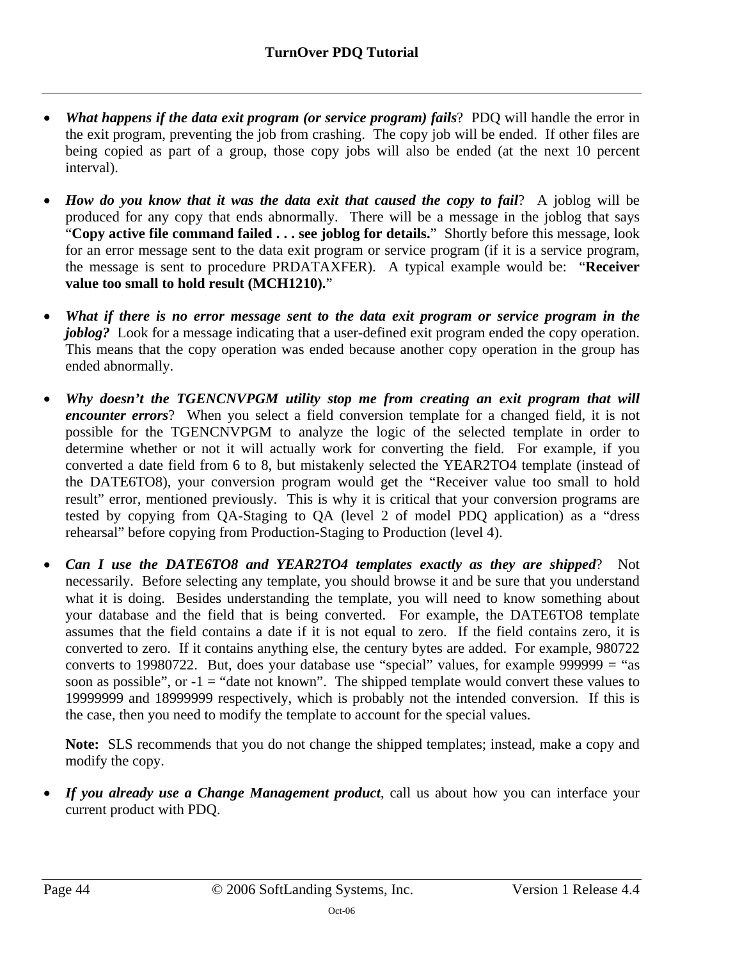- *What happens if the data exit program (or service program) fails*? PDQ will handle the error in the exit program, preventing the job from crashing. The copy job will be ended. If other files are being copied as part of a group, those copy jobs will also be ended (at the next 10 percent interval).
- *How do you know that it was the data exit that caused the copy to fail*? A joblog will be produced for any copy that ends abnormally. There will be a message in the joblog that says "**Copy active file command failed . . . see joblog for details.**" Shortly before this message, look for an error message sent to the data exit program or service program (if it is a service program, the message is sent to procedure PRDATAXFER). A typical example would be: "**Receiver value too small to hold result (MCH1210).**"
- *What if there is no error message sent to the data exit program or service program in the joblog?* Look for a message indicating that a user-defined exit program ended the copy operation. This means that the copy operation was ended because another copy operation in the group has ended abnormally.
- *Why doesn't the TGENCNVPGM utility stop me from creating an exit program that will encounter errors*? When you select a field conversion template for a changed field, it is not possible for the TGENCNVPGM to analyze the logic of the selected template in order to determine whether or not it will actually work for converting the field. For example, if you converted a date field from 6 to 8, but mistakenly selected the YEAR2TO4 template (instead of the DATE6TO8), your conversion program would get the "Receiver value too small to hold result" error, mentioned previously. This is why it is critical that your conversion programs are tested by copying from QA-Staging to QA (level 2 of model PDQ application) as a "dress rehearsal" before copying from Production-Staging to Production (level 4).
- *Can I use the DATE6TO8 and YEAR2TO4 templates exactly as they are shipped*? Not necessarily. Before selecting any template, you should browse it and be sure that you understand what it is doing. Besides understanding the template, you will need to know something about your database and the field that is being converted. For example, the DATE6TO8 template assumes that the field contains a date if it is not equal to zero. If the field contains zero, it is converted to zero. If it contains anything else, the century bytes are added. For example, 980722 converts to 19980722. But, does your database use "special" values, for example 999999 = "as soon as possible", or  $-1 =$  "date not known". The shipped template would convert these values to 19999999 and 18999999 respectively, which is probably not the intended conversion. If this is the case, then you need to modify the template to account for the special values.

**Note:** SLS recommends that you do not change the shipped templates; instead, make a copy and modify the copy.

• *If you already use a Change Management product*, call us about how you can interface your current product with PDQ.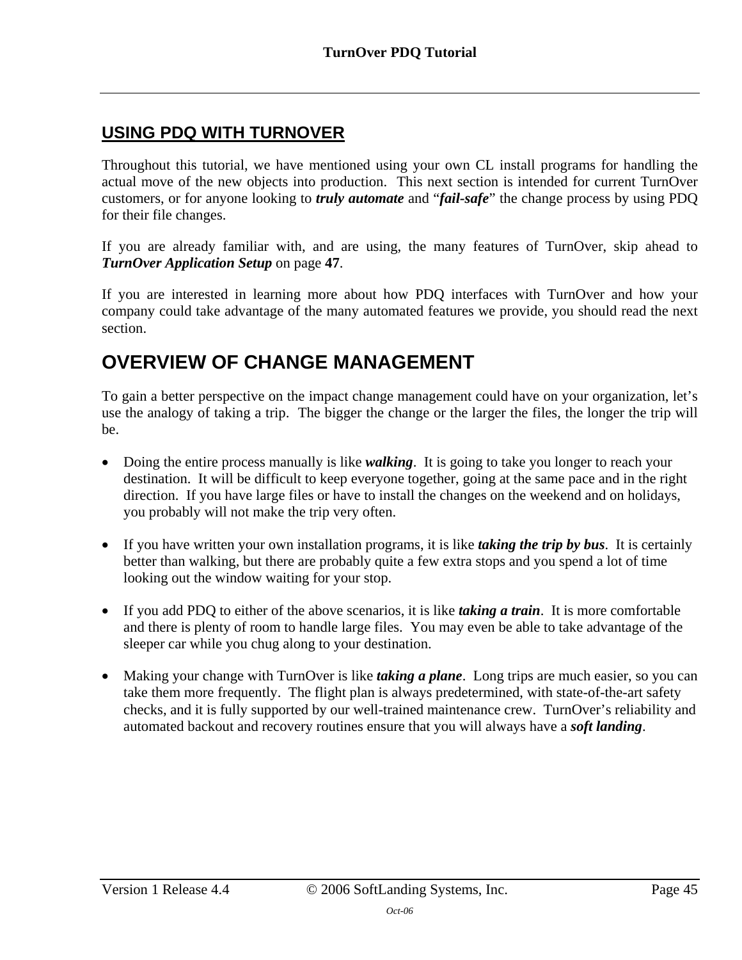## <span id="page-44-0"></span>**USING PDQ WITH TURNOVER**

Throughout this tutorial, we have mentioned using your own CL install programs for handling the actual move of the new objects into production. This next section is intended for current TurnOver customers, or for anyone looking to *truly automate* and "*fail-safe*" the change process by using PDQ for their file changes.

If you are already familiar with, and are using, the many features of TurnOver, skip ahead to *[TurnOver Application Setup](#page-46-0)* on page **[47](#page-46-0)**.

If you are interested in learning more about how PDQ interfaces with TurnOver and how your company could take advantage of the many automated features we provide, you should read the next section.

# <span id="page-44-1"></span>**OVERVIEW OF CHANGE MANAGEMENT**

To gain a better perspective on the impact change management could have on your organization, let's use the analogy of taking a trip. The bigger the change or the larger the files, the longer the trip will be.

- Doing the entire process manually is like *walking*. It is going to take you longer to reach your destination. It will be difficult to keep everyone together, going at the same pace and in the right direction. If you have large files or have to install the changes on the weekend and on holidays, you probably will not make the trip very often.
- If you have written your own installation programs, it is like *taking the trip by bus*. It is certainly better than walking, but there are probably quite a few extra stops and you spend a lot of time looking out the window waiting for your stop.
- If you add PDQ to either of the above scenarios, it is like *taking a train*. It is more comfortable and there is plenty of room to handle large files. You may even be able to take advantage of the sleeper car while you chug along to your destination.
- Making your change with TurnOver is like *taking a plane*. Long trips are much easier, so you can take them more frequently. The flight plan is always predetermined, with state-of-the-art safety checks, and it is fully supported by our well-trained maintenance crew. TurnOver's reliability and automated backout and recovery routines ensure that you will always have a *soft landing*.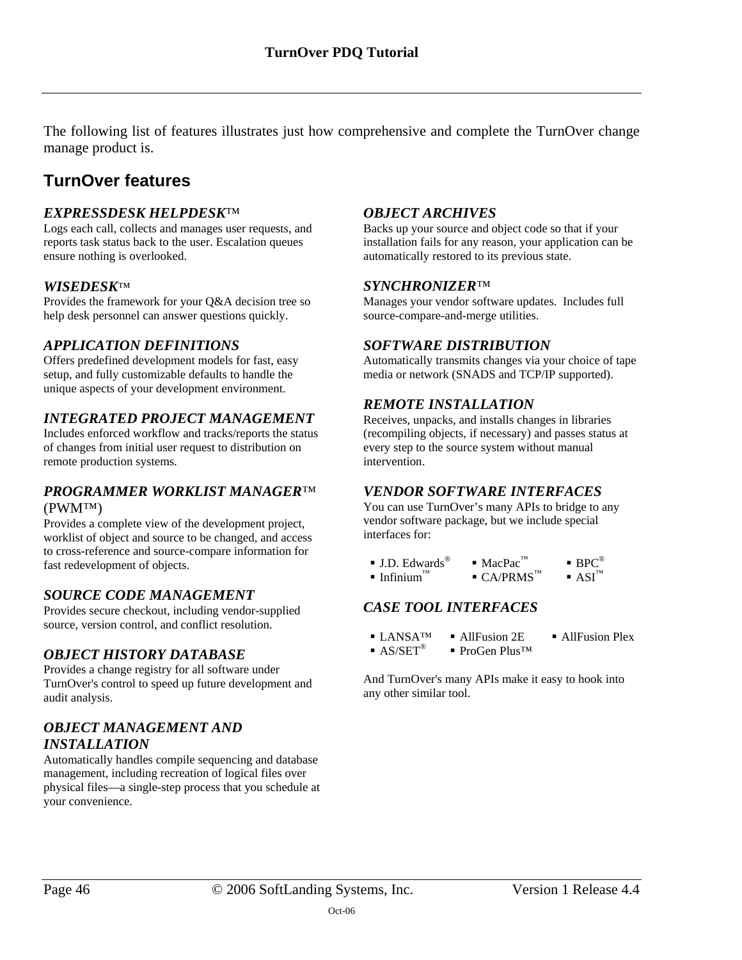The following list of features illustrates just how comprehensive and complete the TurnOver change manage product is.

## <span id="page-45-0"></span>**TurnOver features**

#### *EXPRESSDESK HELPDESK*™

Logs each call, collects and manages user requests, and reports task status back to the user. Escalation queues ensure nothing is overlooked.

#### *WISEDESK*™

Provides the framework for your Q&A decision tree so help desk personnel can answer questions quickly.

### *APPLICATION DEFINITIONS*

Offers predefined development models for fast, easy setup, and fully customizable defaults to handle the unique aspects of your development environment.

### *INTEGRATED PROJECT MANAGEMENT*

Includes enforced workflow and tracks/reports the status of changes from initial user request to distribution on remote production systems.

#### *PROGRAMMER WORKLIST MANAGER*™ (PWM™)

Provides a complete view of the development project, worklist of object and source to be changed, and access to cross-reference and source-compare information for fast redevelopment of objects.

### *SOURCE CODE MANAGEMENT*

Provides secure checkout, including vendor-supplied source, version control, and conflict resolution.

### *OBJECT HISTORY DATABASE*

Provides a change registry for all software under TurnOver's control to speed up future development and audit analysis.

#### *OBJECT MANAGEMENT AND INSTALLATION*

Automatically handles compile sequencing and database management, including recreation of logical files over physical files—a single-step process that you schedule at your convenience.

#### *OBJECT ARCHIVES*

Backs up your source and object code so that if your installation fails for any reason, your application can be automatically restored to its previous state.

#### *SYNCHRONIZER*™

Manages your vendor software updates. Includes full source-compare-and-merge utilities.

#### *SOFTWARE DISTRIBUTION*

Automatically transmits changes via your choice of tape media or network (SNADS and TCP/IP supported).

#### *REMOTE INSTALLATION*

Receives, unpacks, and installs changes in libraries (recompiling objects, if necessary) and passes status at every step to the source system without manual intervention.

#### *VENDOR SOFTWARE INTERFACES*

You can use TurnOver's many APIs to bridge to any vendor software package, but we include special interfaces for:

| $\blacksquare$ J.D. Edwards <sup>®</sup> | $\blacksquare$ MacPac <sup>™</sup>   | $\blacksquare$ BPC <sup>®</sup>  |
|------------------------------------------|--------------------------------------|----------------------------------|
| $\blacksquare$ Infinium <sup>™</sup>     | $\blacksquare$ CA/PRMS <sup>TM</sup> | $\blacksquare$ ASI <sup>TM</sup> |

### *CASE TOOL INTERFACES*

- $\blacksquare$  LANSA<sup>TM</sup>  $\blacksquare$  All Fusion 2E  $\blacksquare$  All Fusion Plex
- $A S/SET^{\circledR}$  ProGen Plus<sup>TM</sup>

And TurnOver's many APIs make it easy to hook into any other similar tool.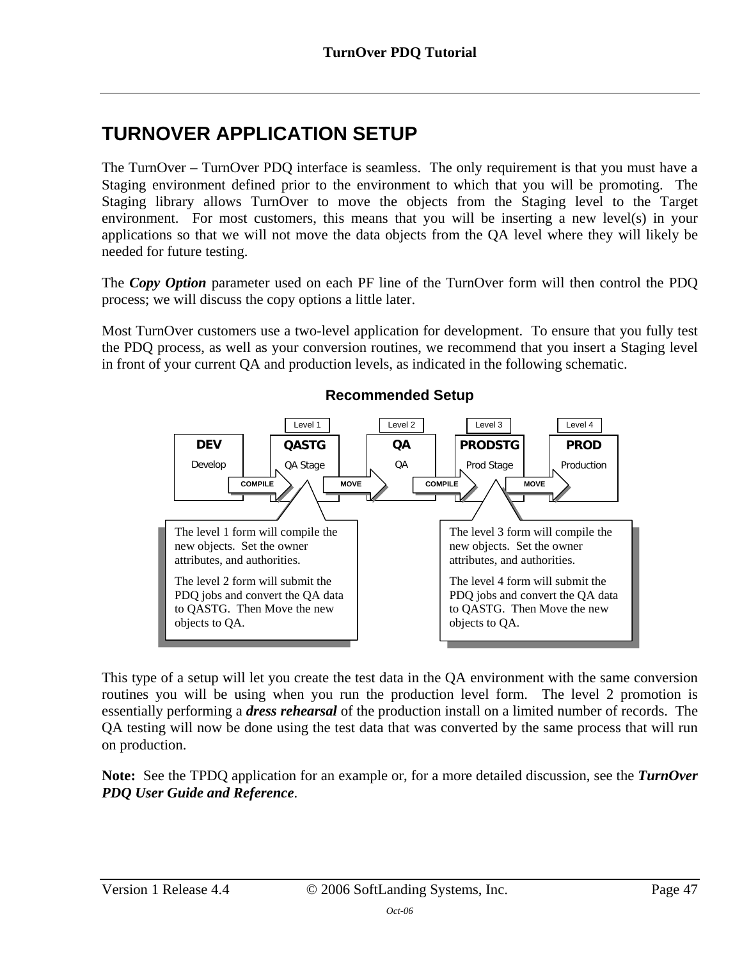# <span id="page-46-0"></span>**TURNOVER APPLICATION SETUP**

The TurnOver – TurnOver PDQ interface is seamless. The only requirement is that you must have a Staging environment defined prior to the environment to which that you will be promoting. The Staging library allows TurnOver to move the objects from the Staging level to the Target environment. For most customers, this means that you will be inserting a new level(s) in your applications so that we will not move the data objects from the QA level where they will likely be needed for future testing.

The *Copy Option* parameter used on each PF line of the TurnOver form will then control the PDQ process; we will discuss the copy options a little later.

Most TurnOver customers use a two-level application for development. To ensure that you fully test the PDQ process, as well as your conversion routines, we recommend that you insert a Staging level in front of your current QA and production levels, as indicated in the following schematic.



### **Recommended Setup**

This type of a setup will let you create the test data in the QA environment with the same conversion routines you will be using when you run the production level form. The level 2 promotion is essentially performing a *dress rehearsal* of the production install on a limited number of records. The QA testing will now be done using the test data that was converted by the same process that will run on production.

**Note:** See the TPDQ application for an example or, for a more detailed discussion, see the *TurnOver PDQ User Guide and Reference*.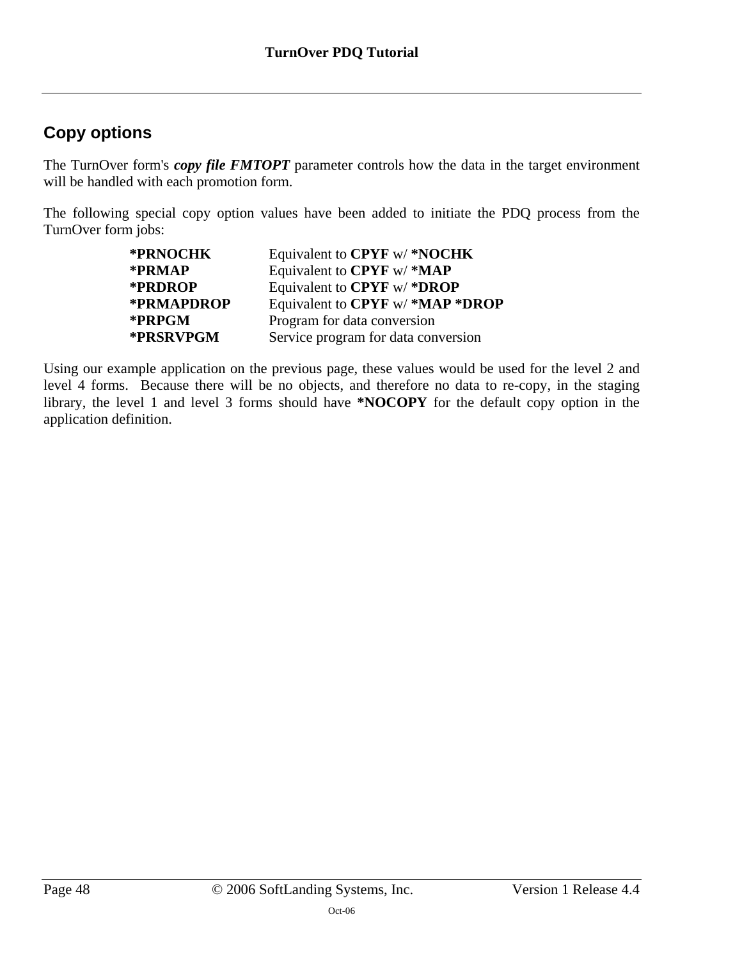# <span id="page-47-0"></span>**Copy options**

The TurnOver form's *copy file FMTOPT* parameter controls how the data in the target environment will be handled with each promotion form.

The following special copy option values have been added to initiate the PDQ process from the TurnOver form jobs:

| *PRNOCHK   | Equivalent to CPYF w/*NOCHK         |
|------------|-------------------------------------|
| *PRMAP     | Equivalent to CPYF w/*MAP           |
| *PRDROP    | Equivalent to CPYF w/*DROP          |
| *PRMAPDROP | Equivalent to CPYF w/*MAP*DROP      |
| *PRPGM     | Program for data conversion         |
| *PRSRVPGM  | Service program for data conversion |

Using our example application on the previous page, these values would be used for the level 2 and level 4 forms. Because there will be no objects, and therefore no data to re-copy, in the staging library, the level 1 and level 3 forms should have **\*NOCOPY** for the default copy option in the application definition.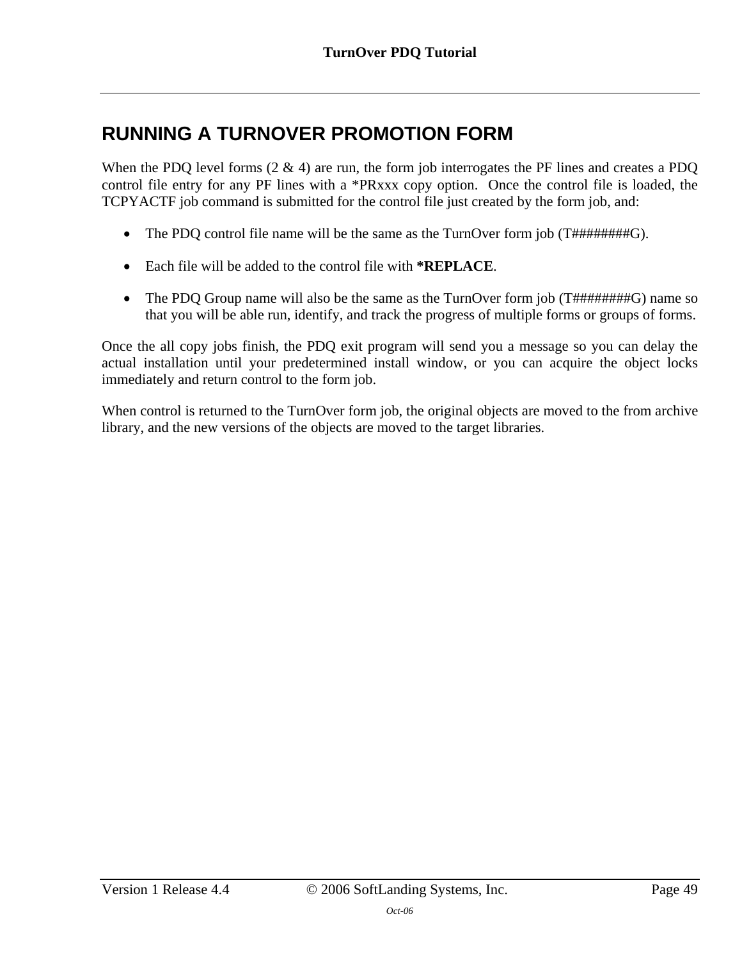# <span id="page-48-0"></span>**RUNNING A TURNOVER PROMOTION FORM**

When the PDQ level forms (2 & 4) are run, the form job interrogates the PF lines and creates a PDQ control file entry for any PF lines with a \*PRxxx copy option. Once the control file is loaded, the TCPYACTF job command is submitted for the control file just created by the form job, and:

- The PDQ control file name will be the same as the TurnOver form job (T#########G).
- Each file will be added to the control file with **\*REPLACE**.
- The PDQ Group name will also be the same as the TurnOver form job (T#########G) name so that you will be able run, identify, and track the progress of multiple forms or groups of forms.

Once the all copy jobs finish, the PDQ exit program will send you a message so you can delay the actual installation until your predetermined install window, or you can acquire the object locks immediately and return control to the form job.

When control is returned to the TurnOver form job, the original objects are moved to the from archive library, and the new versions of the objects are moved to the target libraries.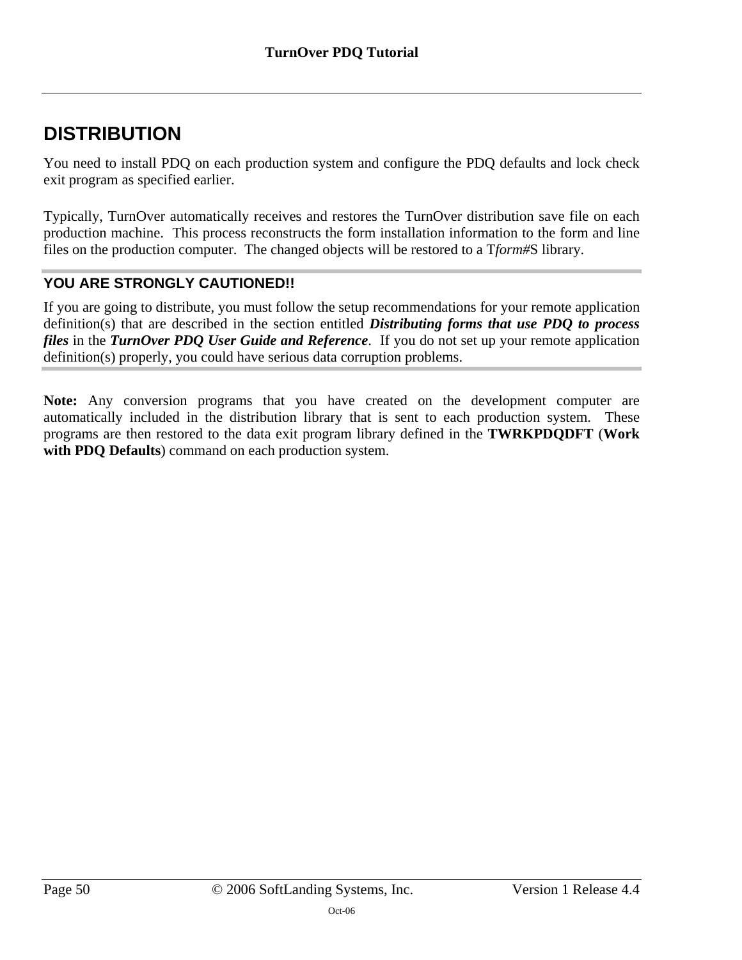# <span id="page-49-0"></span>**DISTRIBUTION**

You need to install PDQ on each production system and configure the PDQ defaults and lock check exit program as specified earlier.

Typically, TurnOver automatically receives and restores the TurnOver distribution save file on each production machine. This process reconstructs the form installation information to the form and line files on the production computer. The changed objects will be restored to a T*form#*S library.

### **YOU ARE STRONGLY CAUTIONED!!**

If you are going to distribute, you must follow the setup recommendations for your remote application definition(s) that are described in the section entitled *Distributing forms that use PDQ to process files* in the *TurnOver PDQ User Guide and Reference*. If you do not set up your remote application definition(s) properly, you could have serious data corruption problems.

**Note:** Any conversion programs that you have created on the development computer are automatically included in the distribution library that is sent to each production system. These programs are then restored to the data exit program library defined in the **TWRKPDQDFT** (**Work with PDQ Defaults**) command on each production system.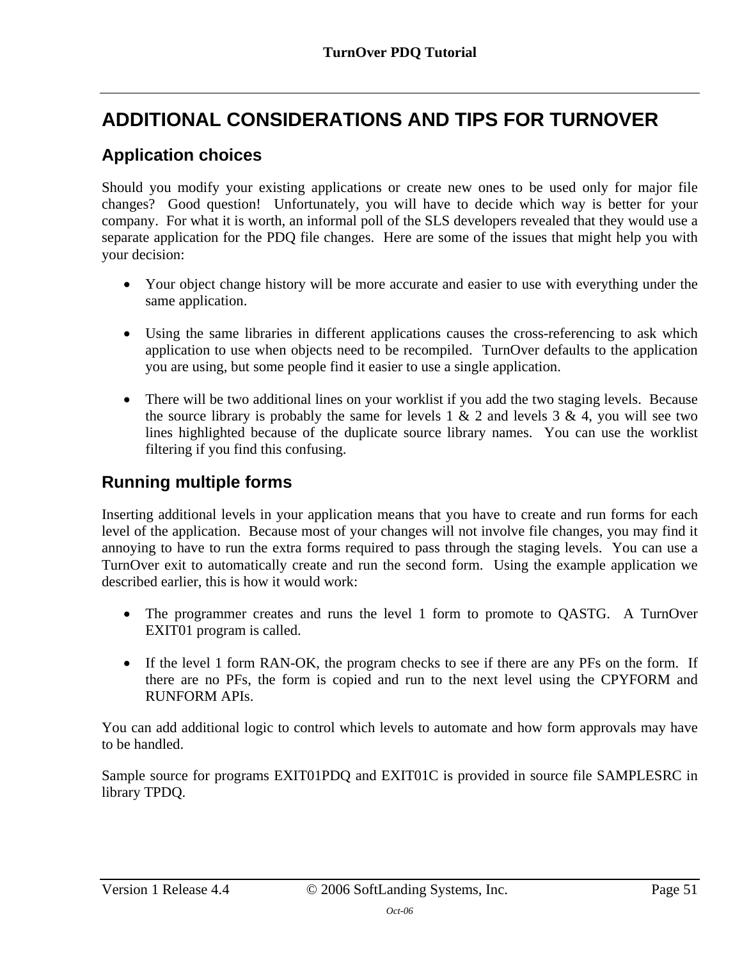# <span id="page-50-0"></span>**ADDITIONAL CONSIDERATIONS AND TIPS FOR TURNOVER**

## <span id="page-50-1"></span>**Application choices**

Should you modify your existing applications or create new ones to be used only for major file changes? Good question! Unfortunately, you will have to decide which way is better for your company. For what it is worth, an informal poll of the SLS developers revealed that they would use a separate application for the PDQ file changes. Here are some of the issues that might help you with your decision:

- Your object change history will be more accurate and easier to use with everything under the same application.
- Using the same libraries in different applications causes the cross-referencing to ask which application to use when objects need to be recompiled. TurnOver defaults to the application you are using, but some people find it easier to use a single application.
- There will be two additional lines on your worklist if you add the two staging levels. Because the source library is probably the same for levels  $1 \& 2$  and levels  $3 \& 4$ , you will see two lines highlighted because of the duplicate source library names. You can use the worklist filtering if you find this confusing.

### <span id="page-50-2"></span>**Running multiple forms**

Inserting additional levels in your application means that you have to create and run forms for each level of the application. Because most of your changes will not involve file changes, you may find it annoying to have to run the extra forms required to pass through the staging levels. You can use a TurnOver exit to automatically create and run the second form. Using the example application we described earlier, this is how it would work:

- The programmer creates and runs the level 1 form to promote to QASTG. A TurnOver EXIT01 program is called.
- If the level 1 form RAN-OK, the program checks to see if there are any PFs on the form. If there are no PFs, the form is copied and run to the next level using the CPYFORM and RUNFORM APIs.

You can add additional logic to control which levels to automate and how form approvals may have to be handled.

Sample source for programs EXIT01PDQ and EXIT01C is provided in source file SAMPLESRC in library TPDQ.